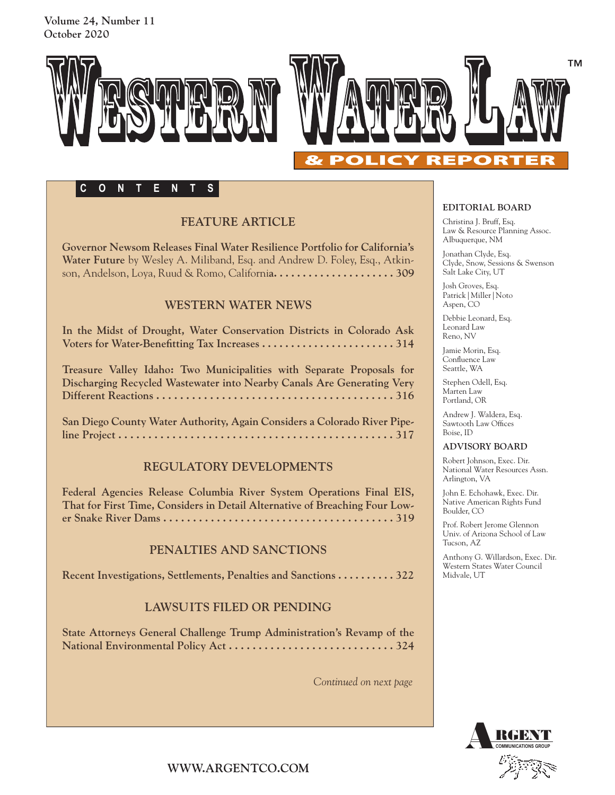**Volume 24, Number 11 October 2020**



## **CONTENTS**

## **FEATURE ARTICLE**

**Governor Newsom Releases Final Water Resilience Portfolio for California's Water Future** by Wesley A. Miliband, Esq. and Andrew D. Foley, Esq., Atkinson, Andelson, Loya, Ruud & Romo, Californi**a. . . . . . . . . . . . . . . . . . . . . 309** 

### **WESTERN WATER NEWS**

**In the Midst of Drought, Water Conservation Districts in Colorado Ask Voters for Water-Benefitting Tax Increases . . . . . . . . . . . . . . . . . . . . . . . 314**

**Treasure Valley Idaho: Two Municipalities with Separate Proposals for Discharging Recycled Wastewater into Nearby Canals Are Generating Very Different Reactions . . . . . . . . . . . . . . . . . . . . . . . . . . . . . . . . . . . . . . . . 316**

**San Diego County Water Authority, Again Considers a Colorado River Pipeline Project . . . . . . . . . . . . . . . . . . . . . . . . . . . . . . . . . . . . . . . . . . . . . . 317**

## **REGULATORY DEVELOPMENTS**

**Federal Agencies Release Columbia River System Operations Final EIS, That for First Time, Considers in Detail Alternative of Breaching Four Lower Snake River Dams . . . . . . . . . . . . . . . . . . . . . . . . . . . . . . . . . . . . . . . 319**

### **PENALTIES AND SANCTIONS**

**Recent Investigations, Settlements, Penalties and Sanctions . . . . . . . . . . 322**

### **LAWSUITS FILED OR PENDING**

**State Attorneys General Challenge Trump Administration's Revamp of the National Environmental Policy Act . . . . . . . . . . . . . . . . . . . . . . . . . . . . 324**

*Continued on next page*

#### **EDITORIAL BOARD**

Christina J. Bruff, Esq. Law & Resource Planning Assoc. Albuquerque, NM

Jonathan Clyde, Esq. Clyde, Snow, Sessions & Swenson Salt Lake City, UT

Josh Groves, Esq. Patrick|Miller|Noto Aspen, CO

Debbie Leonard, Esq. Leonard Law Reno, NV

Jamie Morin, Esq. Confluence Law Seattle, WA

Stephen Odell, Esq. Marten Law Portland, OR

Andrew J. Waldera, Esq. Sawtooth Law Offices Boise, ID

#### **ADVISORY BOARD**

Robert Johnson, Exec. Dir. National Water Resources Assn. Arlington, VA

John E. Echohawk, Exec. Dir. Native American Rights Fund Boulder, CO

Prof. Robert Jerome Glennon Univ. of Arizona School of Law Tucson, AZ

Anthony G. Willardson, Exec. Dir. Western States Water Council Midvale, UT



**WWW.ARGENTCO.COM**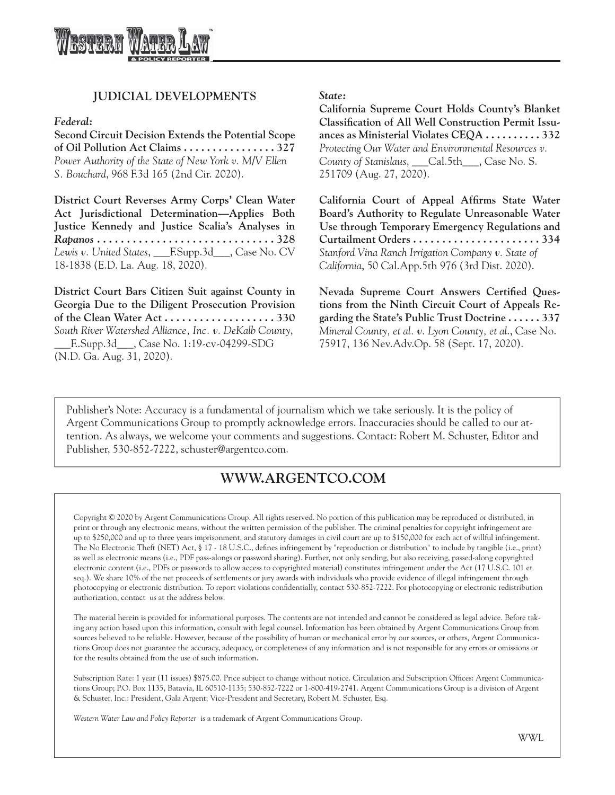

### **JUDICIAL DEVELOPMENTS**

*Federal:*

**Second Circuit Decision Extends the Potential Scope of Oil Pollution Act Claims . . . . . . . . . . . . . . . . 327** *Power Authority of the State of New York v. M/V Ellen S. Bouchard*, 968 F.3d 165 (2nd Cir. 2020).

**District Court Reverses Army Corps' Clean Water Act Jurisdictional Determination—Applies Both Justice Kennedy and Justice Scalia's Analyses in**  *Rapanos* **. . . . . . . . . . . . . . . . . . . . . . . . . . . . . . 328** *Lewis v. United States*, \_\_\_F.Supp.3d\_\_\_, Case No. CV 18-1838 (E.D. La. Aug. 18, 2020).

**District Court Bars Citizen Suit against County in Georgia Due to the Diligent Prosecution Provision of the Clean Water Act . . . . . . . . . . . . . . . . . . . 330** *South River Watershed Alliance, Inc. v. DeKalb County*, \_\_\_F..Supp.3d\_\_\_, Case No. 1:19-cv-04299-SDG (N.D. Ga. Aug. 31, 2020).

#### *State:*

**California Supreme Court Holds County's Blanket Classification of All Well Construction Permit Issuances as Ministerial Violates CEQA . . . . . . . . . . 332** *Protecting Our Water and Environmental Resources v. County of Stanislaus*, \_\_\_Cal.5th\_\_\_, Case No. S. 251709 (Aug. 27, 2020).

**California Court of Appeal Affirms State Water Board's Authority to Regulate Unreasonable Water Use through Temporary Emergency Regulations and Curtailment Orders . . . . . . . . . . . . . . . . . . . . . . 334** *Stanford Vina Ranch Irrigation Company v. State of California*, 50 Cal.App.5th 976 (3rd Dist. 2020).

**Nevada Supreme Court Answers Certified Questions from the Ninth Circuit Court of Appeals Regarding the State's Public Trust Doctrine . . . . . . 337** *Mineral County, et al. v. Lyon County, et al*., Case No. 75917, 136 Nev.Adv.Op. 58 (Sept. 17, 2020).

Publisher's Note: Accuracy is a fundamental of journalism which we take seriously. It is the policy of Argent Communications Group to promptly acknowledge errors. Inaccuracies should be called to our attention. As always, we welcome your comments and suggestions. Contact: Robert M. Schuster, Editor and Publisher, 530-852-7222, schuster@argentco.com.

# **WWW.ARGENTCO.COM**

Copyright © 2020 by Argent Communications Group. All rights reserved. No portion of this publication may be reproduced or distributed, in print or through any electronic means, without the written permission of the publisher. The criminal penalties for copyright infringement are up to \$250,000 and up to three years imprisonment, and statutory damages in civil court are up to \$150,000 for each act of willful infringement. The No Electronic Theft (NET) Act, § 17 - 18 U.S.C., defines infringement by "reproduction or distribution" to include by tangible (i.e., print) as well as electronic means (i.e., PDF pass-alongs or password sharing). Further, not only sending, but also receiving, passed-along copyrighted electronic content (i.e., PDFs or passwords to allow access to copyrighted material) constitutes infringement under the Act (17 U.S.C. 101 et seq.). We share 10% of the net proceeds of settlements or jury awards with individuals who provide evidence of illegal infringement through photocopying or electronic distribution. To report violations confidentially, contact 530-852-7222. For photocopying or electronic redistribution authorization, contact us at the address below.

The material herein is provided for informational purposes. The contents are not intended and cannot be considered as legal advice. Before taking any action based upon this information, consult with legal counsel. Information has been obtained by Argent Communications Group from sources believed to be reliable. However, because of the possibility of human or mechanical error by our sources, or others, Argent Communications Group does not guarantee the accuracy, adequacy, or completeness of any information and is not responsible for any errors or omissions or for the results obtained from the use of such information.

Subscription Rate: 1 year (11 issues) \$875.00. Price subject to change without notice. Circulation and Subscription Offices: Argent Communications Group; P.O. Box 1135, Batavia, IL 60510-1135; 530-852-7222 or 1-800-419-2741. Argent Communications Group is a division of Argent & Schuster, Inc.: President, Gala Argent; Vice-President and Secretary, Robert M. Schuster, Esq.

*Western Water Law and Policy Reporter* is a trademark of Argent Communications Group.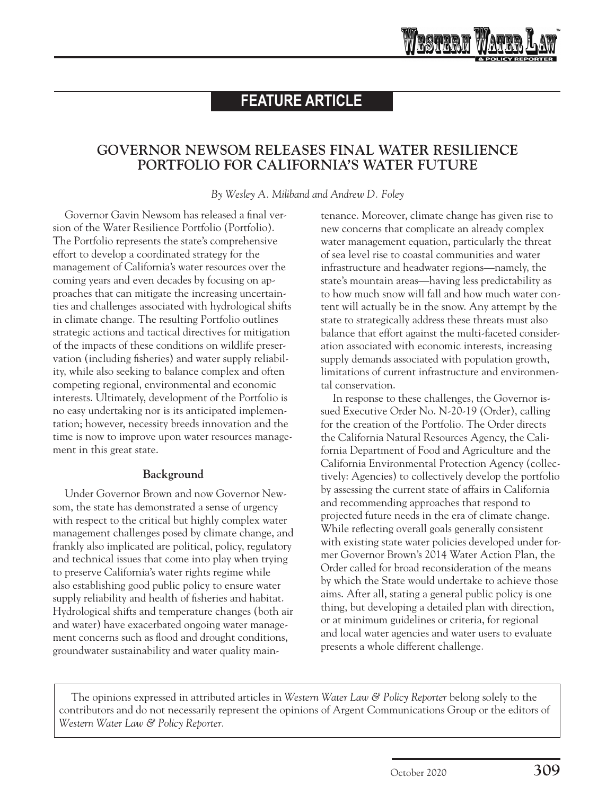# **FEATURE ARTICLE**

# **GOVERNOR NEWSOM RELEASES FINAL WATER RESILIENCE PORTFOLIO FOR CALIFORNIA'S WATER FUTURE**

*By Wesley A. Miliband and Andrew D. Foley*

Governor Gavin Newsom has released a final version of the [Water Resilience Portfolio](https://waterresilience.ca.gov/wp-content/uploads/2020/07/Final_California-Water-Resilience-Portfolio-2020_ADA3_v2_ay11-opt.pdf) (Portfolio). The Portfolio represents the state's comprehensive effort to develop a coordinated strategy for the management of California's water resources over the coming years and even decades by focusing on approaches that can mitigate the increasing uncertainties and challenges associated with hydrological shifts in climate change. The resulting Portfolio outlines strategic actions and tactical directives for mitigation of the impacts of these conditions on wildlife preservation (including fisheries) and water supply reliability, while also seeking to balance complex and often competing regional, environmental and economic interests. Ultimately, development of the Portfolio is no easy undertaking nor is its anticipated implementation; however, necessity breeds innovation and the time is now to improve upon water resources management in this great state.

### **Background**

Under Governor Brown and now Governor Newsom, the state has demonstrated a sense of urgency with respect to the critical but highly complex water management challenges posed by climate change, and frankly also implicated are political, policy, regulatory and technical issues that come into play when trying to preserve California's water rights regime while also establishing good public policy to ensure water supply reliability and health of fisheries and habitat. Hydrological shifts and temperature changes (both air and water) have exacerbated ongoing water management concerns such as flood and drought conditions, groundwater sustainability and water quality maintenance. Moreover, climate change has given rise to new concerns that complicate an already complex water management equation, particularly the threat of sea level rise to coastal communities and water infrastructure and headwater regions—namely, the state's mountain areas—having less predictability as to how much snow will fall and how much water content will actually be in the snow. Any attempt by the state to strategically address these threats must also balance that effort against the multi-faceted consideration associated with economic interests, increasing supply demands associated with population growth, limitations of current infrastructure and environmental conservation.

WRSTRAN

In response to these challenges, the Governor issued Executive Order No. N-20-19 (Order), calling for the creation of the Portfolio. The Order directs the California Natural Resources Agency, the California Department of Food and Agriculture and the California Environmental Protection Agency (collectively: Agencies) to collectively develop the portfolio by assessing the current state of affairs in California and recommending approaches that respond to projected future needs in the era of climate change. While reflecting overall goals generally consistent with existing state water policies developed under former Governor Brown's 2014 Water Action Plan, the Order called for broad reconsideration of the means by which the State would undertake to achieve those aims. After all, stating a general public policy is one thing, but developing a detailed plan with direction, or at minimum guidelines or criteria, for regional and local water agencies and water users to evaluate presents a whole different challenge.

The opinions expressed in attributed articles in *Western Water Law & Policy Reporter* belong solely to the contributors and do not necessarily represent the opinions of Argent Communications Group or the editors of *Western Water Law & Policy Reporter.*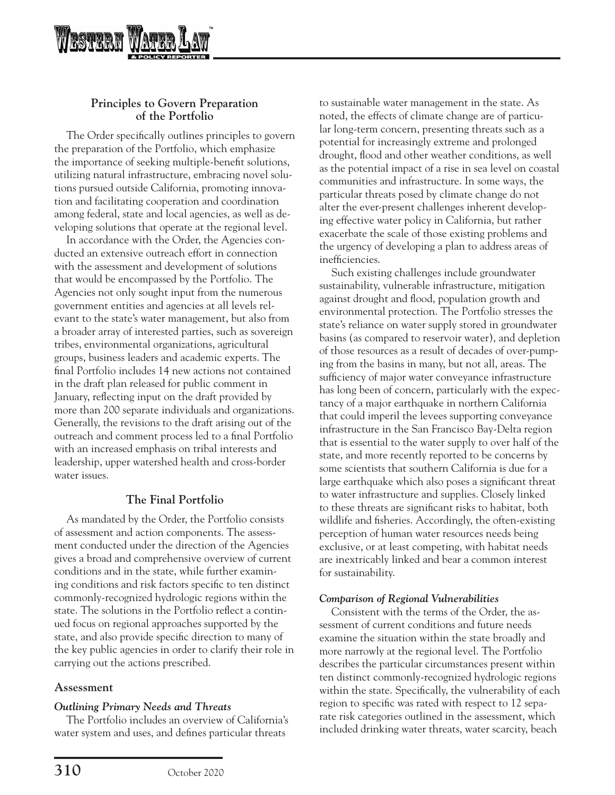

## **Principles to Govern Preparation of the Portfolio**

The Order specifically outlines principles to govern the preparation of the Portfolio, which emphasize the importance of seeking multiple-benefit solutions, utilizing natural infrastructure, embracing novel solutions pursued outside California, promoting innovation and facilitating cooperation and coordination among federal, state and local agencies, as well as developing solutions that operate at the regional level.

In accordance with the Order, the Agencies conducted an extensive outreach effort in connection with the assessment and development of solutions that would be encompassed by the Portfolio. The Agencies not only sought input from the numerous government entities and agencies at all levels relevant to the state's water management, but also from a broader array of interested parties, such as sovereign tribes, environmental organizations, agricultural groups, business leaders and academic experts. The final Portfolio includes 14 new actions not contained in the draft plan released for public comment in January, reflecting input on the draft provided by more than 200 separate individuals and organizations. Generally, the revisions to the draft arising out of the outreach and comment process led to a final Portfolio with an increased emphasis on tribal interests and leadership, upper watershed health and cross-border water issues.

## **The Final Portfolio**

As mandated by the Order, the Portfolio consists of assessment and action components. The assessment conducted under the direction of the Agencies gives a broad and comprehensive overview of current conditions and in the state, while further examining conditions and risk factors specific to ten distinct commonly-recognized hydrologic regions within the state. The solutions in the Portfolio reflect a continued focus on regional approaches supported by the state, and also provide specific direction to many of the key public agencies in order to clarify their role in carrying out the actions prescribed.

### **Assessment**

### *Outlining Primary Needs and Threats*

The Portfolio includes an overview of California's water system and uses, and defines particular threats

to sustainable water management in the state. As noted, the effects of climate change are of particular long-term concern, presenting threats such as a potential for increasingly extreme and prolonged drought, flood and other weather conditions, as well as the potential impact of a rise in sea level on coastal communities and infrastructure. In some ways, the particular threats posed by climate change do not alter the ever-present challenges inherent developing effective water policy in California, but rather exacerbate the scale of those existing problems and the urgency of developing a plan to address areas of inefficiencies.

Such existing challenges include groundwater sustainability, vulnerable infrastructure, mitigation against drought and flood, population growth and environmental protection. The Portfolio stresses the state's reliance on water supply stored in groundwater basins (as compared to reservoir water), and depletion of those resources as a result of decades of over-pumping from the basins in many, but not all, areas. The sufficiency of major water conveyance infrastructure has long been of concern, particularly with the expectancy of a major earthquake in northern California that could imperil the levees supporting conveyance infrastructure in the San Francisco Bay-Delta region that is essential to the water supply to over half of the state, and more recently reported to be concerns by some scientists that southern California is due for a large earthquake which also poses a significant threat to water infrastructure and supplies. Closely linked to these threats are significant risks to habitat, both wildlife and fisheries. Accordingly, the often-existing perception of human water resources needs being exclusive, or at least competing, with habitat needs are inextricably linked and bear a common interest for sustainability.

### *Comparison of Regional Vulnerabilities*

Consistent with the terms of the Order, the assessment of current conditions and future needs examine the situation within the state broadly and more narrowly at the regional level. The Portfolio describes the particular circumstances present within ten distinct commonly-recognized hydrologic regions within the state. Specifically, the vulnerability of each region to specific was rated with respect to 12 separate risk categories outlined in the assessment, which included drinking water threats, water scarcity, beach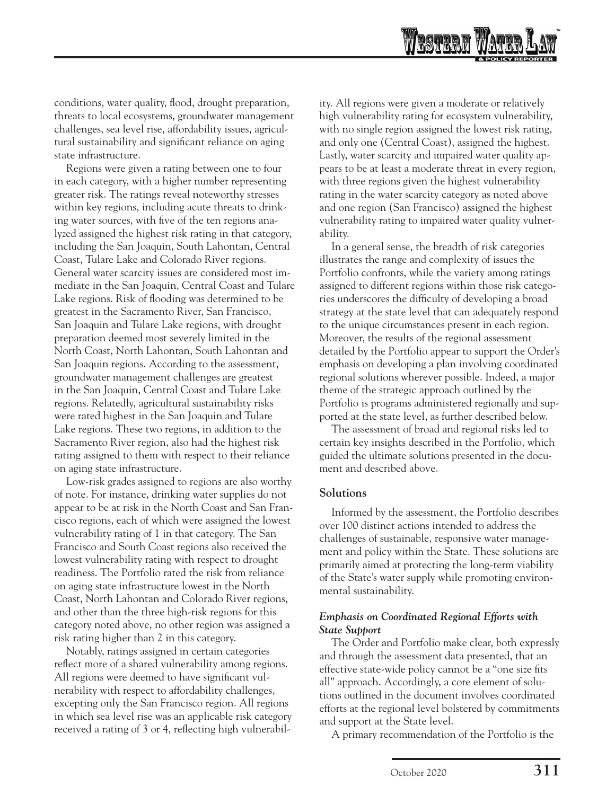conditions, water quality, flood, drought preparation, threats to local ecosystems, groundwater management challenges, sea level rise, affordability issues, agricultural sustainability and significant reliance on aging state infrastructure.

Regions were given a rating between one to four in each category, with a higher number representing greater risk. The ratings reveal noteworthy stresses within key regions, including acute threats to drinking water sources, with five of the ten regions analyzed assigned the highest risk rating in that category, including the San Joaquin, South Lahontan, Central Coast, Tulare Lake and Colorado River regions. General water scarcity issues are considered most immediate in the San Joaquin, Central Coast and Tulare Lake regions. Risk of flooding was determined to be greatest in the Sacramento River, San Francisco, San Joaquin and Tulare Lake regions, with drought preparation deemed most severely limited in the North Coast, North Lahontan, South Lahontan and San Joaquin regions. According to the assessment, groundwater management challenges are greatest in the San Joaquin, Central Coast and Tulare Lake regions. Relatedly, agricultural sustainability risks were rated highest in the San Joaquin and Tulare Lake regions. These two regions, in addition to the Sacramento River region, also had the highest risk rating assigned to them with respect to their reliance on aging state infrastructure.

Low-risk grades assigned to regions are also worthy of note. For instance, drinking water supplies do not appear to be at risk in the North Coast and San Francisco regions, each of which were assigned the lowest vulnerability rating of 1 in that category. The San Francisco and South Coast regions also received the lowest vulnerability rating with respect to drought readiness. The Portfolio rated the risk from reliance on aging state infrastructure lowest in the North Coast, North Lahontan and Colorado River regions, and other than the three high-risk regions for this category noted above, no other region was assigned a risk rating higher than 2 in this category.

Notably, ratings assigned in certain categories reflect more of a shared vulnerability among regions. All regions were deemed to have significant vulnerability with respect to affordability challenges, excepting only the San Francisco region. All regions in which sea level rise was an applicable risk category received a rating of 3 or 4, reflecting high vulnerabil-

ity. All regions were given a moderate or relatively high vulnerability rating for ecosystem vulnerability, with no single region assigned the lowest risk rating, and only one (Central Coast), assigned the highest. Lastly, water scarcity and impaired water quality appears to be at least a moderate threat in every region, with three regions given the highest vulnerability rating in the water scarcity category as noted above and one region (San Francisco) assigned the highest vulnerability rating to impaired water quality vulnerability.

WRSTRAN

In a general sense, the breadth of risk categories illustrates the range and complexity of issues the Portfolio confronts, while the variety among ratings assigned to different regions within those risk categories underscores the difficulty of developing a broad strategy at the state level that can adequately respond to the unique circumstances present in each region. Moreover, the results of the regional assessment detailed by the Portfolio appear to support the Order's emphasis on developing a plan involving coordinated regional solutions wherever possible. Indeed, a major theme of the strategic approach outlined by the Portfolio is programs administered regionally and supported at the state level, as further described below.

The assessment of broad and regional risks led to certain key insights described in the Portfolio, which guided the ultimate solutions presented in the document and described above.

#### **Solutions**

Informed by the assessment, the Portfolio describes over 100 distinct actions intended to address the challenges of sustainable, responsive water management and policy within the State. These solutions are primarily aimed at protecting the long-term viability of the State's water supply while promoting environmental sustainability.

### *Emphasis on Coordinated Regional Efforts with State Support*

The Order and Portfolio make clear, both expressly and through the assessment data presented, that an effective state-wide policy cannot be a "one size fits all" approach. Accordingly, a core element of solutions outlined in the document involves coordinated efforts at the regional level bolstered by commitments and support at the State level.

A primary recommendation of the Portfolio is the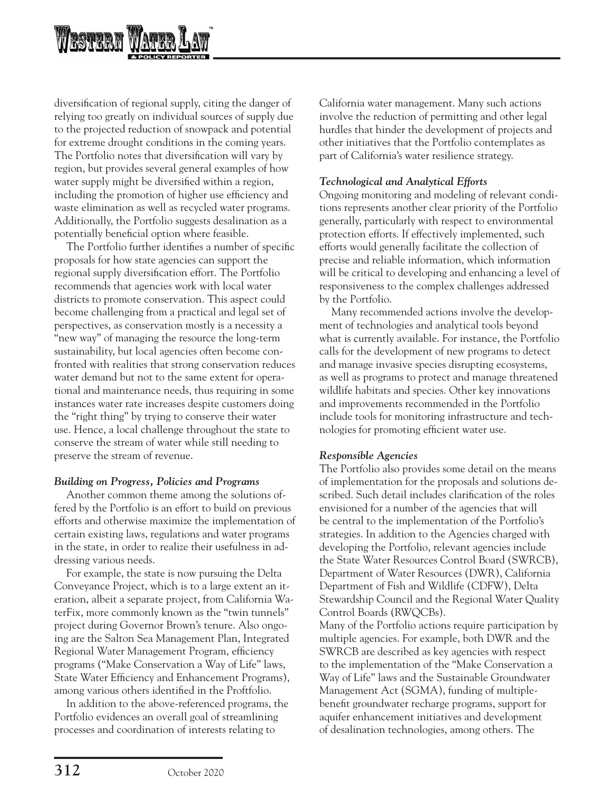

diversification of regional supply, citing the danger of relying too greatly on individual sources of supply due to the projected reduction of snowpack and potential for extreme drought conditions in the coming years. The Portfolio notes that diversification will vary by region, but provides several general examples of how water supply might be diversified within a region, including the promotion of higher use efficiency and waste elimination as well as recycled water programs. Additionally, the Portfolio suggests desalination as a potentially beneficial option where feasible.

The Portfolio further identifies a number of specific proposals for how state agencies can support the regional supply diversification effort. The Portfolio recommends that agencies work with local water districts to promote conservation. This aspect could become challenging from a practical and legal set of perspectives, as conservation mostly is a necessity a "new way" of managing the resource the long-term sustainability, but local agencies often become confronted with realities that strong conservation reduces water demand but not to the same extent for operational and maintenance needs, thus requiring in some instances water rate increases despite customers doing the "right thing" by trying to conserve their water use. Hence, a local challenge throughout the state to conserve the stream of water while still needing to preserve the stream of revenue.

### *Building on Progress, Policies and Programs*

Another common theme among the solutions offered by the Portfolio is an effort to build on previous efforts and otherwise maximize the implementation of certain existing laws, regulations and water programs in the state, in order to realize their usefulness in addressing various needs.

For example, the state is now pursuing the Delta Conveyance Project, which is to a large extent an iteration, albeit a separate project, from California WaterFix, more commonly known as the "twin tunnels" project during Governor Brown's tenure. Also ongoing are the Salton Sea Management Plan, Integrated Regional Water Management Program, efficiency programs ("Make Conservation a Way of Life" laws, State Water Efficiency and Enhancement Programs), among various others identified in the Proftfolio.

In addition to the above-referenced programs, the Portfolio evidences an overall goal of streamlining processes and coordination of interests relating to

California water management. Many such actions involve the reduction of permitting and other legal hurdles that hinder the development of projects and other initiatives that the Portfolio contemplates as part of California's water resilience strategy.

### *Technological and Analytical Efforts*

Ongoing monitoring and modeling of relevant conditions represents another clear priority of the Portfolio generally, particularly with respect to environmental protection efforts. If effectively implemented, such efforts would generally facilitate the collection of precise and reliable information, which information will be critical to developing and enhancing a level of responsiveness to the complex challenges addressed by the Portfolio.

Many recommended actions involve the development of technologies and analytical tools beyond what is currently available. For instance, the Portfolio calls for the development of new programs to detect and manage invasive species disrupting ecosystems, as well as programs to protect and manage threatened wildlife habitats and species. Other key innovations and improvements recommended in the Portfolio include tools for monitoring infrastructure and technologies for promoting efficient water use.

### *Responsible Agencies*

The Portfolio also provides some detail on the means of implementation for the proposals and solutions described. Such detail includes clarification of the roles envisioned for a number of the agencies that will be central to the implementation of the Portfolio's strategies. In addition to the Agencies charged with developing the Portfolio, relevant agencies include the State Water Resources Control Board (SWRCB), Department of Water Resources (DWR), California Department of Fish and Wildlife (CDFW), Delta Stewardship Council and the Regional Water Quality Control Boards (RWQCBs).

Many of the Portfolio actions require participation by multiple agencies. For example, both DWR and the SWRCB are described as key agencies with respect to the implementation of the "Make Conservation a Way of Life" laws and the Sustainable Groundwater Management Act (SGMA), funding of multiplebenefit groundwater recharge programs, support for aquifer enhancement initiatives and development of desalination technologies, among others. The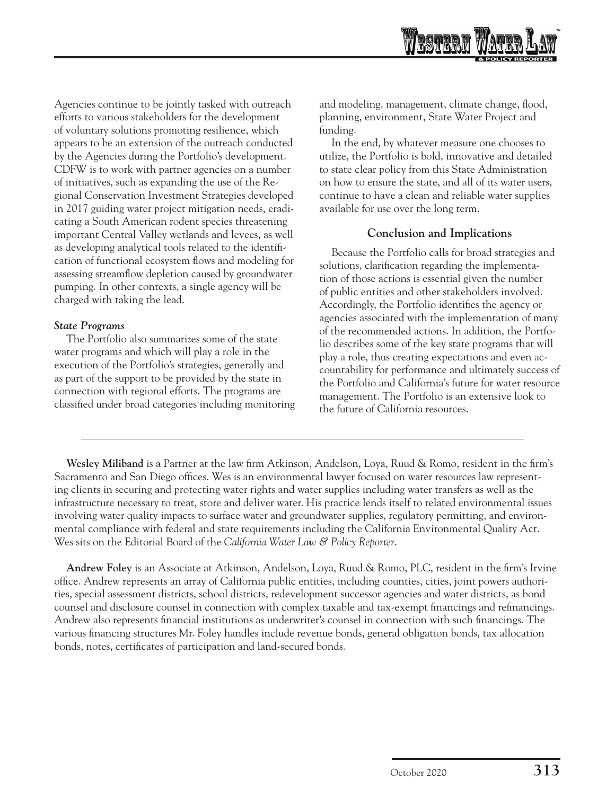

Agencies continue to be jointly tasked with outreach efforts to various stakeholders for the development of voluntary solutions promoting resilience, which appears to be an extension of the outreach conducted by the Agencies during the Portfolio's development. CDFW is to work with partner agencies on a number of initiatives, such as expanding the use of the Regional Conservation Investment Strategies developed in 2017 guiding water project mitigation needs, eradicating a South American rodent species threatening important Central Valley wetlands and levees, as well as developing analytical tools related to the identification of functional ecosystem flows and modeling for assessing streamflow depletion caused by groundwater pumping. In other contexts, a single agency will be charged with taking the lead.

### *State Programs*

The Portfolio also summarizes some of the state water programs and which will play a role in the execution of the Portfolio's strategies, generally and as part of the support to be provided by the state in connection with regional efforts. The programs are classified under broad categories including monitoring and modeling, management, climate change, flood, planning, environment, State Water Project and funding.

In the end, by whatever measure one chooses to utilize, the Portfolio is bold, innovative and detailed to state clear policy from this State Administration on how to ensure the state, and all of its water users, continue to have a clean and reliable water supplies available for use over the long term.

### **Conclusion and Implications**

Because the Portfolio calls for broad strategies and solutions, clarification regarding the implementation of those actions is essential given the number of public entities and other stakeholders involved. Accordingly, the Portfolio identifies the agency or agencies associated with the implementation of many of the recommended actions. In addition, the Portfolio describes some of the key state programs that will play a role, thus creating expectations and even accountability for performance and ultimately success of the Portfolio and California's future for water resource management. The Portfolio is an extensive look to the future of California resources.

**Wesley Miliband** is a Partner at the law firm Atkinson, Andelson, Loya, Ruud & Romo, resident in the firm's Sacramento and San Diego offices. Wes is an environmental lawyer focused on water resources law representing clients in securing and protecting water rights and water supplies including water transfers as well as the infrastructure necessary to treat, store and deliver water. His practice lends itself to related environmental issues involving water quality impacts to surface water and groundwater supplies, regulatory permitting, and environmental compliance with federal and state requirements including the California Environmental Quality Act. Wes sits on the Editorial Board of the *California Water Law & Policy Reporter*.

**Andrew Foley** is an Associate at Atkinson, Andelson, Loya, Ruud & Romo, PLC, resident in the firm's Irvine office. Andrew represents an array of California public entities, including counties, cities, joint powers authorities, special assessment districts, school districts, redevelopment successor agencies and water districts, as bond counsel and disclosure counsel in connection with complex taxable and tax-exempt financings and refinancings. Andrew also represents financial institutions as underwriter's counsel in connection with such financings. The various financing structures Mr. Foley handles include revenue bonds, general obligation bonds, tax allocation bonds, notes, certificates of participation and land-secured bonds.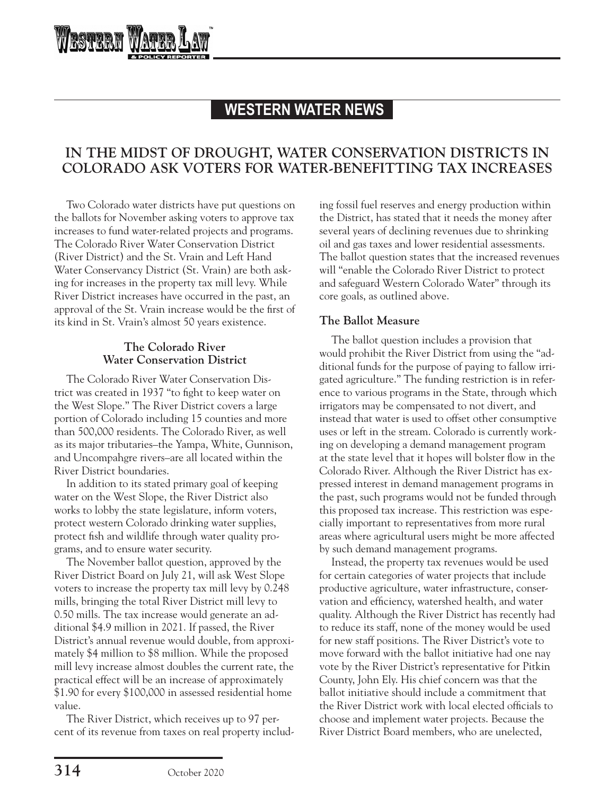# **WESTERN WATER NEWS**

# **IN THE MIDST OF DROUGHT, WATER CONSERVATION DISTRICTS IN COLORADO ASK VOTERS FOR WATER-BENEFITTING TAX INCREASES**

Two Colorado water districts have put questions on the ballots for November asking voters to approve tax increases to fund water-related projects and programs. The Colorado River Water Conservation District (River District) and the St. Vrain and Left Hand Water Conservancy District (St. Vrain) are both asking for increases in the property tax mill levy. While River District increases have occurred in the past, an approval of the St. Vrain increase would be the first of its kind in St. Vrain's almost 50 years existence.

RSTRRN

### **The Colorado River Water Conservation District**

The Colorado River Water Conservation District was created in 1937 "to fight to keep water on the West Slope." The River District covers a large portion of Colorado including 15 counties and more than 500,000 residents. The Colorado River, as well as its major tributaries–the Yampa, White, Gunnison, and Uncompahgre rivers–are all located within the River District boundaries.

In addition to its stated primary goal of keeping water on the West Slope, the River District also works to lobby the state legislature, inform voters, protect western Colorado drinking water supplies, protect fish and wildlife through water quality programs, and to ensure water security.

The November ballot question, approved by the River District Board on July 21, will ask West Slope voters to increase the property tax mill levy by 0.248 mills, bringing the total River District mill levy to 0.50 mills. The tax increase would generate an additional \$4.9 million in 2021. If passed, the River District's annual revenue would double, from approximately \$4 million to \$8 million. While the proposed mill levy increase almost doubles the current rate, the practical effect will be an increase of approximately \$1.90 for every \$100,000 in assessed residential home value.

The River District, which receives up to 97 percent of its revenue from taxes on real property includ-

ing fossil fuel reserves and energy production within the District, has stated that it needs the money after several years of declining revenues due to shrinking oil and gas taxes and lower residential assessments. The ballot question states that the increased revenues will "enable the Colorado River District to protect and safeguard Western Colorado Water" through its core goals, as outlined above.

### **The Ballot Measure**

The ballot question includes a provision that would prohibit the River District from using the "additional funds for the purpose of paying to fallow irrigated agriculture." The funding restriction is in reference to various programs in the State, through which irrigators may be compensated to not divert, and instead that water is used to offset other consumptive uses or left in the stream. Colorado is currently working on developing a demand management program at the state level that it hopes will bolster flow in the Colorado River. Although the River District has expressed interest in demand management programs in the past, such programs would not be funded through this proposed tax increase. This restriction was especially important to representatives from more rural areas where agricultural users might be more affected by such demand management programs.

Instead, the property tax revenues would be used for certain categories of water projects that include productive agriculture, water infrastructure, conservation and efficiency, watershed health, and water quality. Although the River District has recently had to reduce its staff, none of the money would be used for new staff positions. The River District's vote to move forward with the ballot initiative had one nay vote by the River District's representative for Pitkin County, John Ely. His chief concern was that the ballot initiative should include a commitment that the River District work with local elected officials to choose and implement water projects. Because the River District Board members, who are unelected,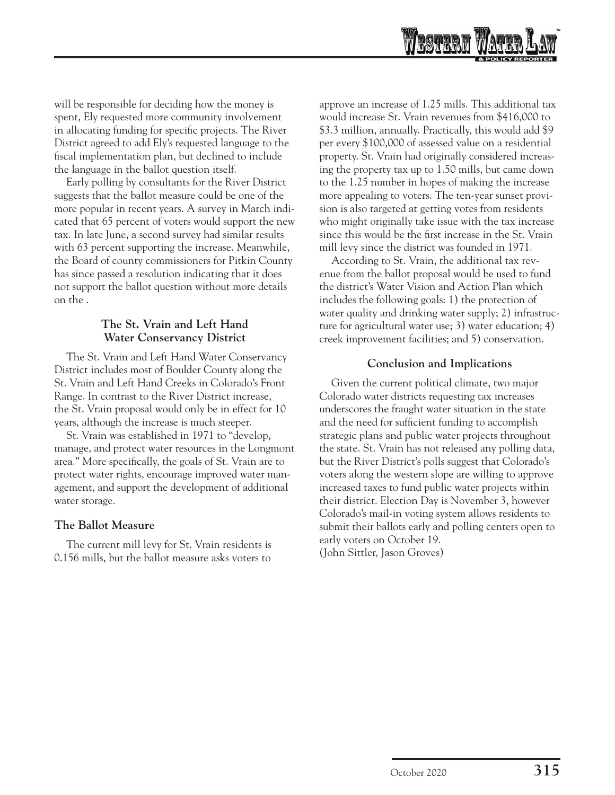

will be responsible for deciding how the money is spent, Ely requested more community involvement in allocating funding for specific projects. The River District agreed to add Ely's requested language to the fiscal implementation plan, but declined to include the language in the ballot question itself.

Early polling by consultants for the River District suggests that the ballot measure could be one of the more popular in recent years. A survey in March indicated that 65 percent of voters would support the new tax. In late June, a second survey had similar results with 63 percent supporting the increase. Meanwhile, the Board of county commissioners for Pitkin County has since passed a resolution indicating that it does not support the ballot question without more details on the .

### **The St. Vrain and Left Hand Water Conservancy District**

The St. Vrain and Left Hand Water Conservancy District includes most of Boulder County along the St. Vrain and Left Hand Creeks in Colorado's Front Range. In contrast to the River District increase, the St. Vrain proposal would only be in effect for 10 years, although the increase is much steeper.

St. Vrain was established in 1971 to "develop, manage, and protect water resources in the Longmont area." More specifically, the goals of St. Vrain are to protect water rights, encourage improved water management, and support the development of additional water storage.

### **The Ballot Measure**

The current mill levy for St. Vrain residents is 0.156 mills, but the ballot measure asks voters to approve an increase of 1.25 mills. This additional tax would increase St. Vrain revenues from \$416,000 to \$3.3 million, annually. Practically, this would add \$9 per every \$100,000 of assessed value on a residential property. St. Vrain had originally considered increasing the property tax up to 1.50 mills, but came down to the 1.25 number in hopes of making the increase more appealing to voters. The ten-year sunset provision is also targeted at getting votes from residents who might originally take issue with the tax increase since this would be the first increase in the St. Vrain mill levy since the district was founded in 1971.

According to St. Vrain, the additional tax revenue from the ballot proposal would be used to fund the district's Water Vision and Action Plan which includes the following goals: 1) the protection of water quality and drinking water supply; 2) infrastructure for agricultural water use; 3) water education; 4) creek improvement facilities; and 5) conservation.

#### **Conclusion and Implications**

Given the current political climate, two major Colorado water districts requesting tax increases underscores the fraught water situation in the state and the need for sufficient funding to accomplish strategic plans and public water projects throughout the state. St. Vrain has not released any polling data, but the River District's polls suggest that Colorado's voters along the western slope are willing to approve increased taxes to fund public water projects within their district. Election Day is November 3, however Colorado's mail-in voting system allows residents to submit their ballots early and polling centers open to early voters on October 19. (John Sittler, Jason Groves)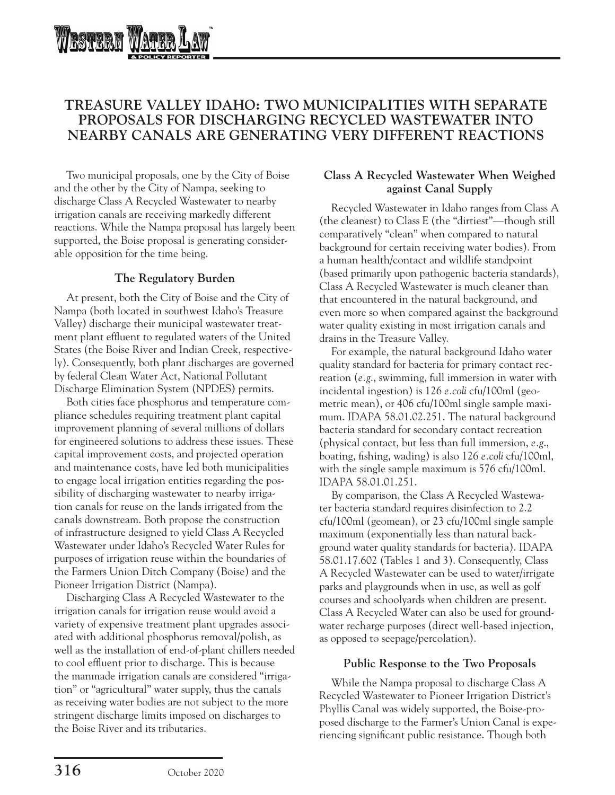

# **TREASURE VALLEY IDAHO: TWO MUNICIPALITIES WITH SEPARATE PROPOSALS FOR DISCHARGING RECYCLED WASTEWATER INTO NEARBY CANALS ARE GENERATING VERY DIFFERENT REACTIONS**

Two municipal proposals, one by the City of Boise and the other by the City of Nampa, seeking to discharge Class A Recycled Wastewater to nearby irrigation canals are receiving markedly different reactions. While the Nampa proposal has largely been supported, the Boise proposal is generating considerable opposition for the time being.

### **The Regulatory Burden**

At present, both the City of Boise and the City of Nampa (both located in southwest Idaho's Treasure Valley) discharge their municipal wastewater treatment plant effluent to regulated waters of the United States (the Boise River and Indian Creek, respectively). Consequently, both plant discharges are governed by federal Clean Water Act, National Pollutant Discharge Elimination System (NPDES) permits.

Both cities face phosphorus and temperature compliance schedules requiring treatment plant capital improvement planning of several millions of dollars for engineered solutions to address these issues. These capital improvement costs, and projected operation and maintenance costs, have led both municipalities to engage local irrigation entities regarding the possibility of discharging wastewater to nearby irrigation canals for reuse on the lands irrigated from the canals downstream. Both propose the construction of infrastructure designed to yield Class A Recycled Wastewater under Idaho's Recycled Water Rules for purposes of irrigation reuse within the boundaries of the Farmers Union Ditch Company (Boise) and the Pioneer Irrigation District (Nampa).

Discharging Class A Recycled Wastewater to the irrigation canals for irrigation reuse would avoid a variety of expensive treatment plant upgrades associated with additional phosphorus removal/polish, as well as the installation of end-of-plant chillers needed to cool effluent prior to discharge. This is because the manmade irrigation canals are considered "irrigation" or "agricultural" water supply, thus the canals as receiving water bodies are not subject to the more stringent discharge limits imposed on discharges to the Boise River and its tributaries.

### **Class A Recycled Wastewater When Weighed against Canal Supply**

Recycled Wastewater in Idaho ranges from Class A (the cleanest) to Class E (the "dirtiest"—though still comparatively "clean" when compared to natural background for certain receiving water bodies). From a human health/contact and wildlife standpoint (based primarily upon pathogenic bacteria standards), Class A Recycled Wastewater is much cleaner than that encountered in the natural background, and even more so when compared against the background water quality existing in most irrigation canals and drains in the Treasure Valley.

For example, the natural background Idaho water quality standard for bacteria for primary contact recreation (*e.g*., swimming, full immersion in water with incidental ingestion) is 126 *e.coli* cfu/100ml (geometric mean), or 406 cfu/100ml single sample maximum. IDAPA 58.01.02.251. The natural background bacteria standard for secondary contact recreation (physical contact, but less than full immersion, *e.g*., boating, fishing, wading) is also 126 *e.coli* cfu/100ml, with the single sample maximum is 576 cfu/100ml. IDAPA 58.01.01.251.

By comparison, the Class A Recycled Wastewater bacteria standard requires disinfection to 2.2 cfu/100ml (geomean), or 23 cfu/100ml single sample maximum (exponentially less than natural background water quality standards for bacteria). IDAPA 58.01.17.602 (Tables 1 and 3). Consequently, Class A Recycled Wastewater can be used to water/irrigate parks and playgrounds when in use, as well as golf courses and schoolyards when children are present. Class A Recycled Water can also be used for groundwater recharge purposes (direct well-based injection, as opposed to seepage/percolation).

### **Public Response to the Two Proposals**

While the Nampa proposal to discharge Class A Recycled Wastewater to Pioneer Irrigation District's Phyllis Canal was widely supported, the Boise-proposed discharge to the Farmer's Union Canal is experiencing significant public resistance. Though both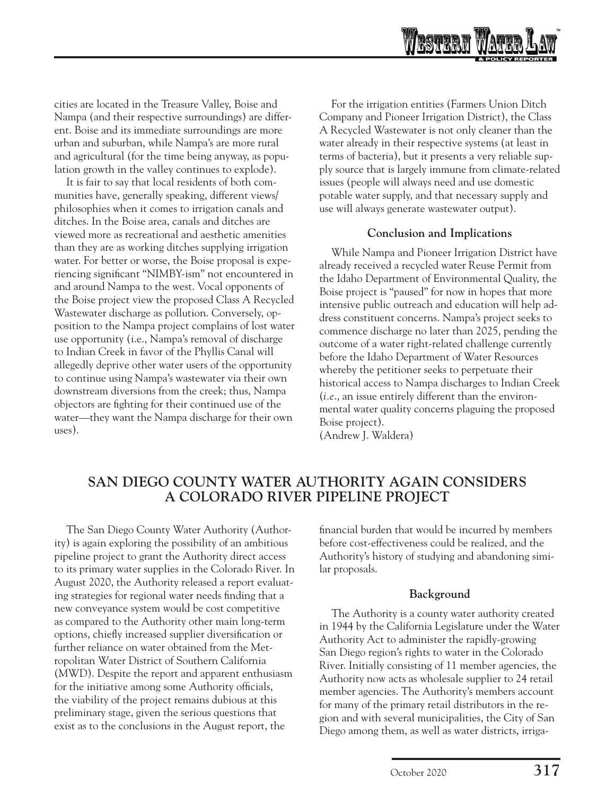

cities are located in the Treasure Valley, Boise and Nampa (and their respective surroundings) are different. Boise and its immediate surroundings are more urban and suburban, while Nampa's are more rural and agricultural (for the time being anyway, as population growth in the valley continues to explode).

It is fair to say that local residents of both communities have, generally speaking, different views/ philosophies when it comes to irrigation canals and ditches. In the Boise area, canals and ditches are viewed more as recreational and aesthetic amenities than they are as working ditches supplying irrigation water. For better or worse, the Boise proposal is experiencing significant "NIMBY-ism" not encountered in and around Nampa to the west. Vocal opponents of the Boise project view the proposed Class A Recycled Wastewater discharge as pollution. Conversely, opposition to the Nampa project complains of lost water use opportunity (i.e., Nampa's removal of discharge to Indian Creek in favor of the Phyllis Canal will allegedly deprive other water users of the opportunity to continue using Nampa's wastewater via their own downstream diversions from the creek; thus, Nampa objectors are fighting for their continued use of the water—they want the Nampa discharge for their own uses).

For the irrigation entities (Farmers Union Ditch Company and Pioneer Irrigation District), the Class A Recycled Wastewater is not only cleaner than the water already in their respective systems (at least in terms of bacteria), but it presents a very reliable supply source that is largely immune from climate-related issues (people will always need and use domestic potable water supply, and that necessary supply and use will always generate wastewater output).

### **Conclusion and Implications**

While Nampa and Pioneer Irrigation District have already received a recycled water Reuse Permit from the Idaho Department of Environmental Quality, the Boise project is "paused" for now in hopes that more intensive public outreach and education will help address constituent concerns. Nampa's project seeks to commence discharge no later than 2025, pending the outcome of a water right-related challenge currently before the Idaho Department of Water Resources whereby the petitioner seeks to perpetuate their historical access to Nampa discharges to Indian Creek (*i.e*., an issue entirely different than the environmental water quality concerns plaguing the proposed Boise project).

(Andrew J. Waldera)

# **SAN DIEGO COUNTY WATER AUTHORITY AGAIN CONSIDERS A COLORADO RIVER PIPELINE PROJECT**

The San Diego County Water Authority (Authority) is again exploring the possibility of an ambitious pipeline project to grant the Authority direct access to its primary water supplies in the Colorado River. In August 2020, the Authority released a report evaluating strategies for regional water needs finding that a new conveyance system would be cost competitive as compared to the Authority other main long-term options, chiefly increased supplier diversification or further reliance on water obtained from the Metropolitan Water District of Southern California (MWD). Despite the report and apparent enthusiasm for the initiative among some Authority officials, the viability of the project remains dubious at this preliminary stage, given the serious questions that exist as to the conclusions in the August report, the

financial burden that would be incurred by members before cost-effectiveness could be realized, and the Authority's history of studying and abandoning similar proposals.

### **Background**

The Authority is a county water authority created in 1944 by the California Legislature under the Water Authority Act to administer the rapidly-growing San Diego region's rights to water in the Colorado River. Initially consisting of 11 member agencies, the Authority now acts as wholesale supplier to 24 retail member agencies. The Authority's members account for many of the primary retail distributors in the region and with several municipalities, the City of San Diego among them, as well as water districts, irriga-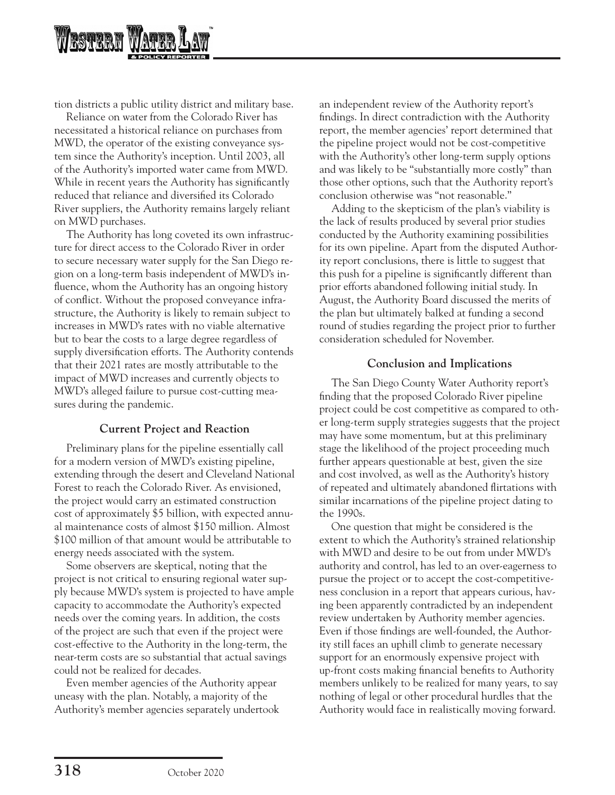

tion districts a public utility district and military base.

Reliance on water from the Colorado River has necessitated a historical reliance on purchases from MWD, the operator of the existing conveyance system since the Authority's inception. Until 2003, all of the Authority's imported water came from MWD. While in recent years the Authority has significantly reduced that reliance and diversified its Colorado River suppliers, the Authority remains largely reliant on MWD purchases.

The Authority has long coveted its own infrastructure for direct access to the Colorado River in order to secure necessary water supply for the San Diego region on a long-term basis independent of MWD's influence, whom the Authority has an ongoing history of conflict. Without the proposed conveyance infrastructure, the Authority is likely to remain subject to increases in MWD's rates with no viable alternative but to bear the costs to a large degree regardless of supply diversification efforts. The Authority contends that their 2021 rates are mostly attributable to the impact of MWD increases and currently objects to MWD's alleged failure to pursue cost-cutting measures during the pandemic.

### **Current Project and Reaction**

Preliminary plans for the pipeline essentially call for a modern version of MWD's existing pipeline, extending through the desert and Cleveland National Forest to reach the Colorado River. As envisioned, the project would carry an estimated construction cost of approximately \$5 billion, with expected annual maintenance costs of almost \$150 million. Almost \$100 million of that amount would be attributable to energy needs associated with the system.

Some observers are skeptical, noting that the project is not critical to ensuring regional water supply because MWD's system is projected to have ample capacity to accommodate the Authority's expected needs over the coming years. In addition, the costs of the project are such that even if the project were cost-effective to the Authority in the long-term, the near-term costs are so substantial that actual savings could not be realized for decades.

Even member agencies of the Authority appear uneasy with the plan. Notably, a majority of the Authority's member agencies separately undertook an independent review of the Authority report's findings. In direct contradiction with the Authority report, the member agencies' report determined that the pipeline project would not be cost-competitive with the Authority's other long-term supply options and was likely to be "substantially more costly" than those other options, such that the Authority report's conclusion otherwise was "not reasonable."

Adding to the skepticism of the plan's viability is the lack of results produced by several prior studies conducted by the Authority examining possibilities for its own pipeline. Apart from the disputed Authority report conclusions, there is little to suggest that this push for a pipeline is significantly different than prior efforts abandoned following initial study. In August, the Authority Board discussed the merits of the plan but ultimately balked at funding a second round of studies regarding the project prior to further consideration scheduled for November.

### **Conclusion and Implications**

The San Diego County Water Authority report's finding that the proposed Colorado River pipeline project could be cost competitive as compared to other long-term supply strategies suggests that the project may have some momentum, but at this preliminary stage the likelihood of the project proceeding much further appears questionable at best, given the size and cost involved, as well as the Authority's history of repeated and ultimately abandoned flirtations with similar incarnations of the pipeline project dating to the 1990s.

One question that might be considered is the extent to which the Authority's strained relationship with MWD and desire to be out from under MWD's authority and control, has led to an over-eagerness to pursue the project or to accept the cost-competitiveness conclusion in a report that appears curious, having been apparently contradicted by an independent review undertaken by Authority member agencies. Even if those findings are well-founded, the Authority still faces an uphill climb to generate necessary support for an enormously expensive project with up-front costs making financial benefits to Authority members unlikely to be realized for many years, to say nothing of legal or other procedural hurdles that the Authority would face in realistically moving forward.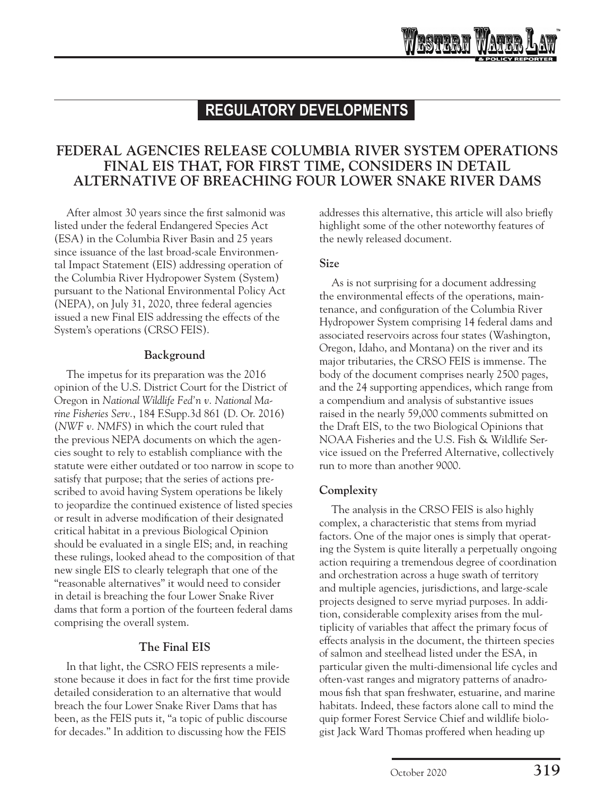# **FEDERAL AGENCIES RELEASE COLUMBIA RIVER SYSTEM OPERATIONS FINAL EIS THAT, FOR FIRST TIME, CONSIDERS IN DETAIL ALTERNATIVE OF BREACHING FOUR LOWER SNAKE RIVER DAMS**

After almost 30 years since the first salmonid was listed under the federal Endangered Species Act (ESA) in the Columbia River Basin and 25 years since issuance of the last broad-scale Environmental Impact Statement (EIS) addressing operation of the Columbia River Hydropower System (System) pursuant to the National Environmental Policy Act (NEPA), on July 31, 2020, three federal agencies issued a new Final EIS addressing the effects of the System's operations (CRSO FEIS).

### **Background**

The impetus for its preparation was the 2016 opinion of the U.S. District Court for the District of Oregon in *National Wildlife Fed'n v. National Marine Fisheries Serv.*, 184 F.Supp.3d 861 (D. Or. 2016) (*NWF v. NMFS*) in which the court ruled that the previous NEPA documents on which the agencies sought to rely to establish compliance with the statute were either outdated or too narrow in scope to satisfy that purpose; that the series of actions prescribed to avoid having System operations be likely to jeopardize the continued existence of listed species or result in adverse modification of their designated critical habitat in a previous Biological Opinion should be evaluated in a single EIS; and, in reaching these rulings, looked ahead to the composition of that new single EIS to clearly telegraph that one of the "reasonable alternatives" it would need to consider in detail is breaching the four Lower Snake River dams that form a portion of the fourteen federal dams comprising the overall system.

### **The Final EIS**

In that light, the CSRO FEIS represents a milestone because it does in fact for the first time provide detailed consideration to an alternative that would breach the four Lower Snake River Dams that has been, as the FEIS puts it, "a topic of public discourse for decades." In addition to discussing how the FEIS

addresses this alternative, this article will also briefly highlight some of the other noteworthy features of the newly released document.

### **Size**

As is not surprising for a document addressing the environmental effects of the operations, maintenance, and configuration of the Columbia River Hydropower System comprising 14 federal dams and associated reservoirs across four states (Washington, Oregon, Idaho, and Montana) on the river and its major tributaries, the CRSO FEIS is immense. The body of the document comprises nearly 2500 pages, and the 24 supporting appendices, which range from a compendium and analysis of substantive issues raised in the nearly 59,000 comments submitted on the Draft EIS, to the two Biological Opinions that NOAA Fisheries and the U.S. Fish & Wildlife Service issued on the Preferred Alternative, collectively run to more than another 9000.

## **Complexity**

The analysis in the CRSO FEIS is also highly complex, a characteristic that stems from myriad factors. One of the major ones is simply that operating the System is quite literally a perpetually ongoing action requiring a tremendous degree of coordination and orchestration across a huge swath of territory and multiple agencies, jurisdictions, and large-scale projects designed to serve myriad purposes. In addition, considerable complexity arises from the multiplicity of variables that affect the primary focus of effects analysis in the document, the thirteen species of salmon and steelhead listed under the ESA, in particular given the multi-dimensional life cycles and often-vast ranges and migratory patterns of anadromous fish that span freshwater, estuarine, and marine habitats. Indeed, these factors alone call to mind the quip former Forest Service Chief and wildlife biologist Jack Ward Thomas proffered when heading up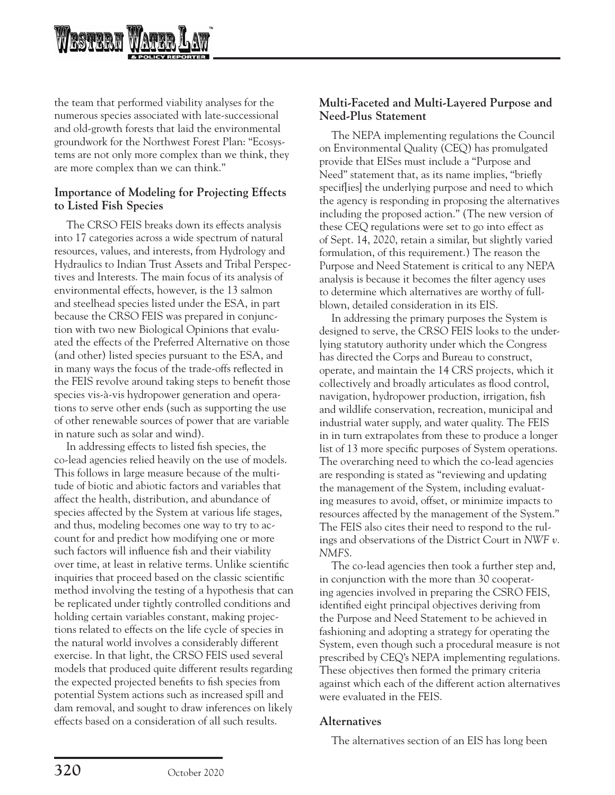

the team that performed viability analyses for the numerous species associated with late-successional and old-growth forests that laid the environmental groundwork for the Northwest Forest Plan: "Ecosystems are not only more complex than we think, they are more complex than we can think."

### **Importance of Modeling for Projecting Effects to Listed Fish Species**

The CRSO FEIS breaks down its effects analysis into 17 categories across a wide spectrum of natural resources, values, and interests, from Hydrology and Hydraulics to Indian Trust Assets and Tribal Perspectives and Interests. The main focus of its analysis of environmental effects, however, is the 13 salmon and steelhead species listed under the ESA, in part because the CRSO FEIS was prepared in conjunction with two new Biological Opinions that evaluated the effects of the Preferred Alternative on those (and other) listed species pursuant to the ESA, and in many ways the focus of the trade-offs reflected in the FEIS revolve around taking steps to benefit those species vis-à-vis hydropower generation and operations to serve other ends (such as supporting the use of other renewable sources of power that are variable in nature such as solar and wind).

In addressing effects to listed fish species, the co-lead agencies relied heavily on the use of models. This follows in large measure because of the multitude of biotic and abiotic factors and variables that affect the health, distribution, and abundance of species affected by the System at various life stages, and thus, modeling becomes one way to try to account for and predict how modifying one or more such factors will influence fish and their viability over time, at least in relative terms. Unlike scientific inquiries that proceed based on the classic scientific method involving the testing of a hypothesis that can be replicated under tightly controlled conditions and holding certain variables constant, making projections related to effects on the life cycle of species in the natural world involves a considerably different exercise. In that light, the CRSO FEIS used several models that produced quite different results regarding the expected projected benefits to fish species from potential System actions such as increased spill and dam removal, and sought to draw inferences on likely effects based on a consideration of all such results.

### **Multi-Faceted and Multi-Layered Purpose and Need-Plus Statement**

The NEPA implementing regulations the Council on Environmental Quality (CEQ) has promulgated provide that EISes must include a "Purpose and Need" statement that, as its name implies, "briefly specif[ies] the underlying purpose and need to which the agency is responding in proposing the alternatives including the proposed action." (The new version of these CEQ regulations were set to go into effect as of Sept. 14, 2020, retain a similar, but slightly varied formulation, of this requirement.) The reason the Purpose and Need Statement is critical to any NEPA analysis is because it becomes the filter agency uses to determine which alternatives are worthy of fullblown, detailed consideration in its EIS.

In addressing the primary purposes the System is designed to serve, the CRSO FEIS looks to the underlying statutory authority under which the Congress has directed the Corps and Bureau to construct, operate, and maintain the 14 CRS projects, which it collectively and broadly articulates as flood control, navigation, hydropower production, irrigation, fish and wildlife conservation, recreation, municipal and industrial water supply, and water quality. The FEIS in in turn extrapolates from these to produce a longer list of 13 more specific purposes of System operations. The overarching need to which the co-lead agencies are responding is stated as "reviewing and updating the management of the System, including evaluating measures to avoid, offset, or minimize impacts to resources affected by the management of the System." The FEIS also cites their need to respond to the rulings and observations of the District Court in *NWF v. NMFS*.

The co-lead agencies then took a further step and, in conjunction with the more than 30 cooperating agencies involved in preparing the CSRO FEIS, identified eight principal objectives deriving from the Purpose and Need Statement to be achieved in fashioning and adopting a strategy for operating the System, even though such a procedural measure is not prescribed by CEQ's NEPA implementing regulations. These objectives then formed the primary criteria against which each of the different action alternatives were evaluated in the FEIS.

### **Alternatives**

The alternatives section of an EIS has long been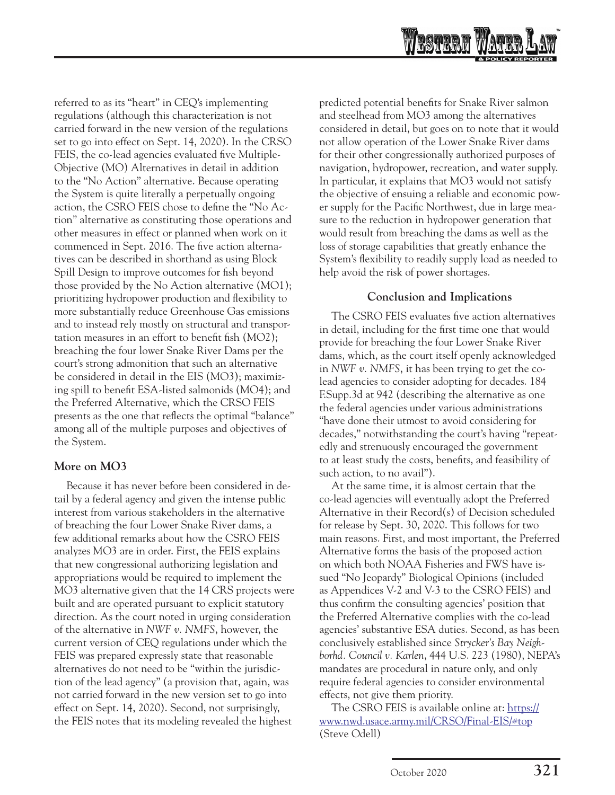

referred to as its "heart" in CEQ's implementing regulations (although this characterization is not carried forward in the new version of the regulations set to go into effect on Sept. 14, 2020). In the CRSO FEIS, the co-lead agencies evaluated five Multiple-Objective (MO) Alternatives in detail in addition to the "No Action" alternative. Because operating the System is quite literally a perpetually ongoing action, the CSRO FEIS chose to define the "No Action" alternative as constituting those operations and other measures in effect or planned when work on it commenced in Sept. 2016. The five action alternatives can be described in shorthand as using Block Spill Design to improve outcomes for fish beyond those provided by the No Action alternative (MO1); prioritizing hydropower production and flexibility to more substantially reduce Greenhouse Gas emissions and to instead rely mostly on structural and transportation measures in an effort to benefit fish (MO2); breaching the four lower Snake River Dams per the court's strong admonition that such an alternative be considered in detail in the EIS (MO3); maximizing spill to benefit ESA-listed salmonids (MO4); and the Preferred Alternative, which the CRSO FEIS presents as the one that reflects the optimal "balance" among all of the multiple purposes and objectives of the System.

### **More on MO3**

Because it has never before been considered in detail by a federal agency and given the intense public interest from various stakeholders in the alternative of breaching the four Lower Snake River dams, a few additional remarks about how the CSRO FEIS analyzes MO3 are in order. First, the FEIS explains that new congressional authorizing legislation and appropriations would be required to implement the MO3 alternative given that the 14 CRS projects were built and are operated pursuant to explicit statutory direction. As the court noted in urging consideration of the alternative in *NWF v. NMFS*, however, the current version of CEQ regulations under which the FEIS was prepared expressly state that reasonable alternatives do not need to be "within the jurisdiction of the lead agency" (a provision that, again, was not carried forward in the new version set to go into effect on Sept. 14, 2020). Second, not surprisingly, the FEIS notes that its modeling revealed the highest

predicted potential benefits for Snake River salmon and steelhead from MO3 among the alternatives considered in detail, but goes on to note that it would not allow operation of the Lower Snake River dams for their other congressionally authorized purposes of navigation, hydropower, recreation, and water supply. In particular, it explains that MO3 would not satisfy the objective of ensuing a reliable and economic power supply for the Pacific Northwest, due in large measure to the reduction in hydropower generation that would result from breaching the dams as well as the loss of storage capabilities that greatly enhance the System's flexibility to readily supply load as needed to help avoid the risk of power shortages.

### **Conclusion and Implications**

The CSRO FEIS evaluates five action alternatives in detail, including for the first time one that would provide for breaching the four Lower Snake River dams, which, as the court itself openly acknowledged in *NWF v. NMFS*, it has been trying to get the colead agencies to consider adopting for decades. 184 F.Supp.3d at 942 (describing the alternative as one the federal agencies under various administrations "have done their utmost to avoid considering for decades," notwithstanding the court's having "repeatedly and strenuously encouraged the government to at least study the costs, benefits, and feasibility of such action, to no avail").

At the same time, it is almost certain that the co-lead agencies will eventually adopt the Preferred Alternative in their Record(s) of Decision scheduled for release by Sept. 30, 2020. This follows for two main reasons. First, and most important, the Preferred Alternative forms the basis of the proposed action on which both NOAA Fisheries and FWS have issued "No Jeopardy" Biological Opinions (included as Appendices V-2 and V-3 to the CSRO FEIS) and thus confirm the consulting agencies' position that the Preferred Alternative complies with the co-lead agencies' substantive ESA duties. Second, as has been conclusively established since *Strycker's Bay Neighborhd. Council v. Karlen*, 444 U.S. 223 (1980), NEPA's mandates are procedural in nature only, and only require federal agencies to consider environmental effects, not give them priority.

The CSRO FEIS is available online at: https:// www.nwd.usace.army.mil/CRSO/Final-EIS/#top (Steve Odell)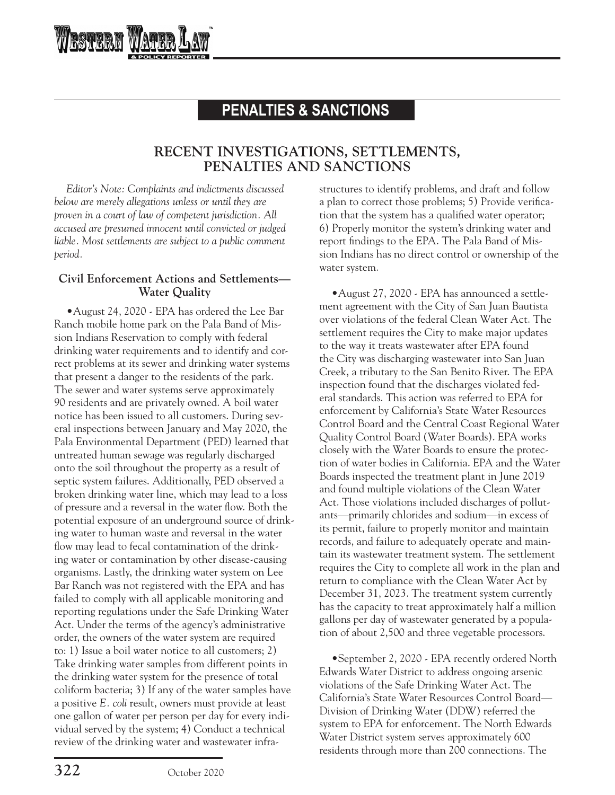# **PENALTIES & SANCTIONS**

# **RECENT INVESTIGATIONS, SETTLEMENTS, PENALTIES AND SANCTIONS**

*Editor's Note: Complaints and indictments discussed below are merely allegations unless or until they are proven in a court of law of competent jurisdiction. All accused are presumed innocent until convicted or judged liable. Most settlements are subject to a public comment period.* 

**RSTERN W** 

### **Civil Enforcement Actions and Settlements— Water Quality**

•August 24, 2020 - EPA has ordered the Lee Bar Ranch mobile home park on the Pala Band of Mission Indians Reservation to comply with federal drinking water requirements and to identify and correct problems at its sewer and drinking water systems that present a danger to the residents of the park. The sewer and water systems serve approximately 90 residents and are privately owned. A boil water notice has been issued to all customers. During several inspections between January and May 2020, the Pala Environmental Department (PED) learned that untreated human sewage was regularly discharged onto the soil throughout the property as a result of septic system failures. Additionally, PED observed a broken drinking water line, which may lead to a loss of pressure and a reversal in the water flow. Both the potential exposure of an underground source of drinking water to human waste and reversal in the water flow may lead to fecal contamination of the drinking water or contamination by other disease-causing organisms. Lastly, the drinking water system on Lee Bar Ranch was not registered with the EPA and has failed to comply with all applicable monitoring and reporting regulations under the Safe Drinking Water Act. Under the terms of the agency's administrative order, the owners of the water system are required to: 1) Issue a boil water notice to all customers; 2) Take drinking water samples from different points in the drinking water system for the presence of total coliform bacteria; 3) If any of the water samples have a positive *E. coli* result, owners must provide at least one gallon of water per person per day for every individual served by the system; 4) Conduct a technical review of the drinking water and wastewater infrastructures to identify problems, and draft and follow a plan to correct those problems; 5) Provide verification that the system has a qualified water operator; 6) Properly monitor the system's drinking water and report findings to the EPA. The Pala Band of Mission Indians has no direct control or ownership of the water system.

•August 27, 2020 - EPA has announced a settlement agreement with the City of San Juan Bautista over violations of the federal Clean Water Act. The settlement requires the City to make major updates to the way it treats wastewater after EPA found the City was discharging wastewater into San Juan Creek, a tributary to the San Benito River. The EPA inspection found that the discharges violated federal standards. This action was referred to EPA for enforcement by California's State Water Resources Control Board and the Central Coast Regional Water Quality Control Board (Water Boards). EPA works closely with the Water Boards to ensure the protection of water bodies in California. EPA and the Water Boards inspected the treatment plant in June 2019 and found multiple violations of the Clean Water Act. Those violations included discharges of pollutants—primarily chlorides and sodium—in excess of its permit, failure to properly monitor and maintain records, and failure to adequately operate and maintain its wastewater treatment system. The settlement requires the City to complete all work in the plan and return to compliance with the Clean Water Act by December 31, 2023. The treatment system currently has the capacity to treat approximately half a million gallons per day of wastewater generated by a population of about 2,500 and three vegetable processors.

•September 2, 2020 - EPA recently ordered North Edwards Water District to address ongoing arsenic violations of the Safe Drinking Water Act. The California's State Water Resources Control Board— Division of Drinking Water (DDW) referred the system to EPA for enforcement. The North Edwards Water District system serves approximately 600 residents through more than 200 connections. The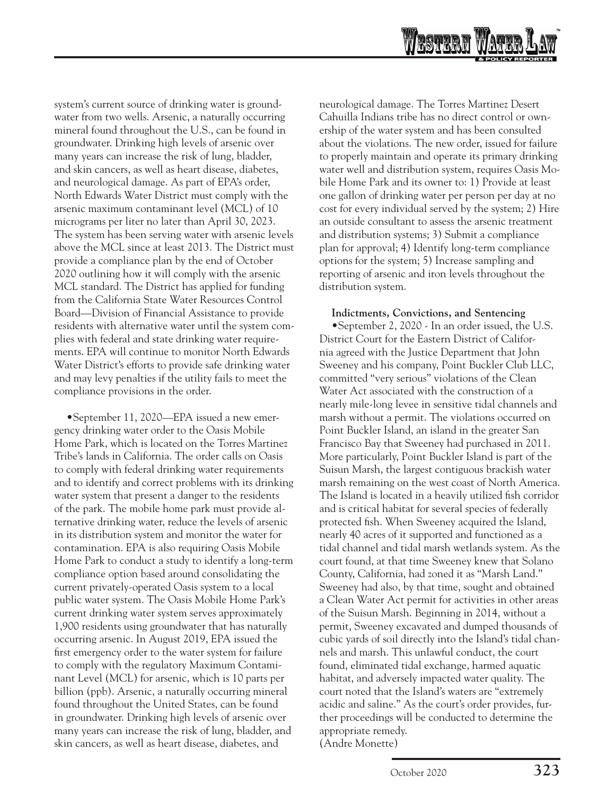

system's current source of drinking water is groundwater from two wells. Arsenic, a naturally occurring mineral found throughout the U.S., can be found in groundwater. Drinking high levels of arsenic over many years can increase the risk of lung, bladder, and skin cancers, as well as heart disease, diabetes, and neurological damage. As part of EPA's order, North Edwards Water District must comply with the arsenic maximum contaminant level (MCL) of 10 micrograms per liter no later than April 30, 2023. The system has been serving water with arsenic levels above the MCL since at least 2013. The District must provide a compliance plan by the end of October 2020 outlining how it will comply with the arsenic MCL standard. The District has applied for funding from the California State Water Resources Control Board—Division of Financial Assistance to provide residents with alternative water until the system complies with federal and state drinking water requirements. EPA will continue to monitor North Edwards Water District's efforts to provide safe drinking water and may levy penalties if the utility fails to meet the compliance provisions in the order.

•September 11, 2020—EPA issued a new emergency drinking water order to the Oasis Mobile Home Park, which is located on the Torres Martinez Tribe's lands in California. The order calls on Oasis to comply with federal drinking water requirements and to identify and correct problems with its drinking water system that present a danger to the residents of the park. The mobile home park must provide alternative drinking water, reduce the levels of arsenic in its distribution system and monitor the water for contamination. EPA is also requiring Oasis Mobile Home Park to conduct a study to identify a long-term compliance option based around consolidating the current privately-operated Oasis system to a local public water system. The Oasis Mobile Home Park's current drinking water system serves approximately 1,900 residents using groundwater that has naturally occurring arsenic. In August 2019, EPA issued the first emergency order to the water system for failure to comply with the regulatory Maximum Contaminant Level (MCL) for arsenic, which is 10 parts per billion (ppb). Arsenic, a naturally occurring mineral found throughout the United States, can be found in groundwater. Drinking high levels of arsenic over many years can increase the risk of lung, bladder, and skin cancers, as well as heart disease, diabetes, and

neurological damage. The Torres Martinez Desert Cahuilla Indians tribe has no direct control or ownership of the water system and has been consulted about the violations. The new order, issued for failure to properly maintain and operate its primary drinking water well and distribution system, requires Oasis Mobile Home Park and its owner to: 1) Provide at least one gallon of drinking water per person per day at no cost for every individual served by the system; 2) Hire an outside consultant to assess the arsenic treatment and distribution systems; 3) Submit a compliance plan for approval; 4) Identify long-term compliance options for the system; 5) Increase sampling and reporting of arsenic and iron levels throughout the distribution system.

#### **Indictments, Convictions, and Sentencing**

•September 2, 2020 - In an order issued, the U.S. District Court for the Eastern District of California agreed with the Justice Department that John Sweeney and his company, Point Buckler Club LLC, committed "very serious" violations of the Clean Water Act associated with the construction of a nearly mile-long levee in sensitive tidal channels and marsh without a permit. The violations occurred on Point Buckler Island, an island in the greater San Francisco Bay that Sweeney had purchased in 2011. More particularly, Point Buckler Island is part of the Suisun Marsh, the largest contiguous brackish water marsh remaining on the west coast of North America. The Island is located in a heavily utilized fish corridor and is critical habitat for several species of federally protected fish. When Sweeney acquired the Island, nearly 40 acres of it supported and functioned as a tidal channel and tidal marsh wetlands system. As the court found, at that time Sweeney knew that Solano County, California, had zoned it as "Marsh Land." Sweeney had also, by that time, sought and obtained a Clean Water Act permit for activities in other areas of the Suisun Marsh. Beginning in 2014, without a permit, Sweeney excavated and dumped thousands of cubic yards of soil directly into the Island's tidal channels and marsh. This unlawful conduct, the court found, eliminated tidal exchange, harmed aquatic habitat, and adversely impacted water quality. The court noted that the Island's waters are "extremely acidic and saline." As the court's order provides, further proceedings will be conducted to determine the appropriate remedy. (Andre Monette)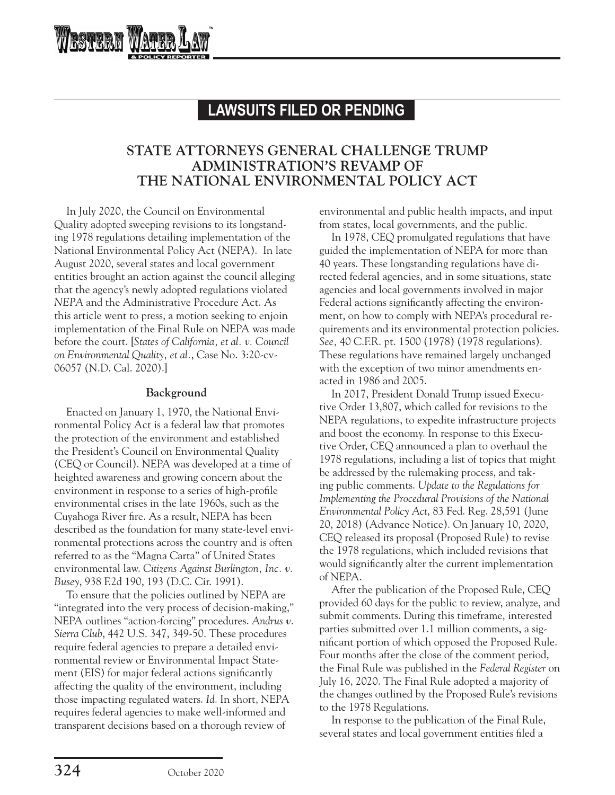# **LAWSUITS FILED OR PENDING**

# **STATE ATTORNEYS GENERAL CHALLENGE TRUMP ADMINISTRATION'S REVAMP OF THE NATIONAL ENVIRONMENTAL POLICY ACT**

In July 2020, the Council on Environmental Quality adopted sweeping revisions to its longstanding 1978 regulations detailing implementation of the National Environmental Policy Act (NEPA). In late August 2020, several states and local government entities brought an action against the council alleging that the agency's newly adopted regulations violated *NEPA* and the Administrative Procedure Act. As this article went to press, a motion seeking to enjoin implementation of the Final Rule on NEPA was made before the court. [*States of California, et al. v. Council on Environmental Quality, et al.*, Case No. 3:20-cv-06057 (N.D. Cal. 2020).]

rstram

### **Background**

Enacted on January 1, 1970, the National Environmental Policy Act is a federal law that promotes the protection of the environment and established the President's Council on Environmental Quality (CEQ or Council). NEPA was developed at a time of heighted awareness and growing concern about the environment in response to a series of high-profile environmental crises in the late 1960s, such as the Cuyahoga River fire. As a result, NEPA has been described as the foundation for many state-level environmental protections across the country and is often referred to as the "Magna Carta" of United States environmental law. *Citizens Against Burlington, Inc. v. Busey*, 938 F.2d 190, 193 (D.C. Cir. 1991).

To ensure that the policies outlined by NEPA are "integrated into the very process of decision-making," NEPA outlines "action-forcing" procedures. *Andrus v. Sierra Club*, 442 U.S. 347, 349-50. These procedures require federal agencies to prepare a detailed environmental review or Environmental Impact Statement (EIS) for major federal actions significantly affecting the quality of the environment, including those impacting regulated waters. *Id*. In short, NEPA requires federal agencies to make well-informed and transparent decisions based on a thorough review of

environmental and public health impacts, and input from states, local governments, and the public.

In 1978, CEQ promulgated regulations that have guided the implementation of NEPA for more than 40 years. These longstanding regulations have directed federal agencies, and in some situations, state agencies and local governments involved in major Federal actions significantly affecting the environment, on how to comply with NEPA's procedural requirements and its environmental protection policies. *See,* 40 C.F.R. pt. 1500 (1978) (1978 regulations). These regulations have remained largely unchanged with the exception of two minor amendments enacted in 1986 and 2005.

In 2017, President Donald Trump issued Executive Order 13,807, which called for revisions to the NEPA regulations, to expedite infrastructure projects and boost the economy. In response to this Executive Order, CEQ announced a plan to overhaul the 1978 regulations, including a list of topics that might be addressed by the rulemaking process, and taking public comments. *Update to the Regulations for Implementing the Procedural Provisions of the National Environmental Policy Act*, 83 Fed. Reg. 28,591 (June 20, 2018) (Advance Notice). On January 10, 2020, CEQ released its proposal (Proposed Rule) to revise the 1978 regulations, which included revisions that would significantly alter the current implementation of NEPA.

After the publication of the Proposed Rule, CEQ provided 60 days for the public to review, analyze, and submit comments. During this timeframe, interested parties submitted over 1.1 million comments, a significant portion of which opposed the Proposed Rule. Four months after the close of the comment period, the Final Rule was published in the *Federal Register* on July 16, 2020. The Final Rule adopted a majority of the changes outlined by the Proposed Rule's revisions to the 1978 Regulations.

In response to the publication of the Final Rule, several states and local government entities filed a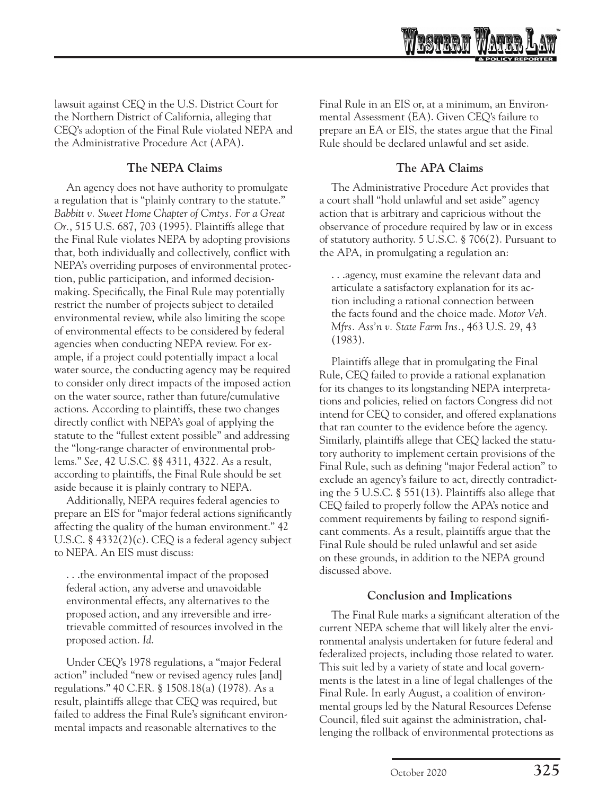

lawsuit against CEQ in the U.S. District Court for the Northern District of California, alleging that CEQ's adoption of the Final Rule violated NEPA and the Administrative Procedure Act (APA).

### **The NEPA Claims**

An agency does not have authority to promulgate a regulation that is "plainly contrary to the statute." *Babbitt v. Sweet Home Chapter of Cmtys. For a Great Or.*, 515 U.S. 687, 703 (1995). Plaintiffs allege that the Final Rule violates NEPA by adopting provisions that, both individually and collectively, conflict with NEPA's overriding purposes of environmental protection, public participation, and informed decisionmaking. Specifically, the Final Rule may potentially restrict the number of projects subject to detailed environmental review, while also limiting the scope of environmental effects to be considered by federal agencies when conducting NEPA review. For example, if a project could potentially impact a local water source, the conducting agency may be required to consider only direct impacts of the imposed action on the water source, rather than future/cumulative actions. According to plaintiffs, these two changes directly conflict with NEPA's goal of applying the statute to the "fullest extent possible" and addressing the "long-range character of environmental problems." *See,* 42 U.S.C. §§ 4311, 4322. As a result, according to plaintiffs, the Final Rule should be set aside because it is plainly contrary to NEPA.

Additionally, NEPA requires federal agencies to prepare an EIS for "major federal actions significantly affecting the quality of the human environment." 42 U.S.C. § 4332(2)(c). CEQ is a federal agency subject to NEPA. An EIS must discuss:

. . .the environmental impact of the proposed federal action, any adverse and unavoidable environmental effects, any alternatives to the proposed action, and any irreversible and irretrievable committed of resources involved in the proposed action. *Id*.

Under CEQ's 1978 regulations, a "major Federal action" included "new or revised agency rules [and] regulations." 40 C.F.R. § 1508.18(a) (1978). As a result, plaintiffs allege that CEQ was required, but failed to address the Final Rule's significant environmental impacts and reasonable alternatives to the

Final Rule in an EIS or, at a minimum, an Environmental Assessment (EA). Given CEQ's failure to prepare an EA or EIS, the states argue that the Final Rule should be declared unlawful and set aside.

### **The APA Claims**

The Administrative Procedure Act provides that a court shall "hold unlawful and set aside" agency action that is arbitrary and capricious without the observance of procedure required by law or in excess of statutory authority. 5 U.S.C. § 706(2). Pursuant to the APA, in promulgating a regulation an:

. . .agency, must examine the relevant data and articulate a satisfactory explanation for its action including a rational connection between the facts found and the choice made. *Motor Veh. Mfrs. Ass'n v. State Farm Ins.*, 463 U.S. 29, 43 (1983).

Plaintiffs allege that in promulgating the Final Rule, CEQ failed to provide a rational explanation for its changes to its longstanding NEPA interpretations and policies, relied on factors Congress did not intend for CEQ to consider, and offered explanations that ran counter to the evidence before the agency. Similarly, plaintiffs allege that CEQ lacked the statutory authority to implement certain provisions of the Final Rule, such as defining "major Federal action" to exclude an agency's failure to act, directly contradicting the 5 U.S.C. § 551(13). Plaintiffs also allege that CEQ failed to properly follow the APA's notice and comment requirements by failing to respond significant comments. As a result, plaintiffs argue that the Final Rule should be ruled unlawful and set aside on these grounds, in addition to the NEPA ground discussed above.

### **Conclusion and Implications**

The Final Rule marks a significant alteration of the current NEPA scheme that will likely alter the environmental analysis undertaken for future federal and federalized projects, including those related to water. This suit led by a variety of state and local governments is the latest in a line of legal challenges of the Final Rule. In early August, a coalition of environmental groups led by the Natural Resources Defense Council, filed suit against the administration, challenging the rollback of environmental protections as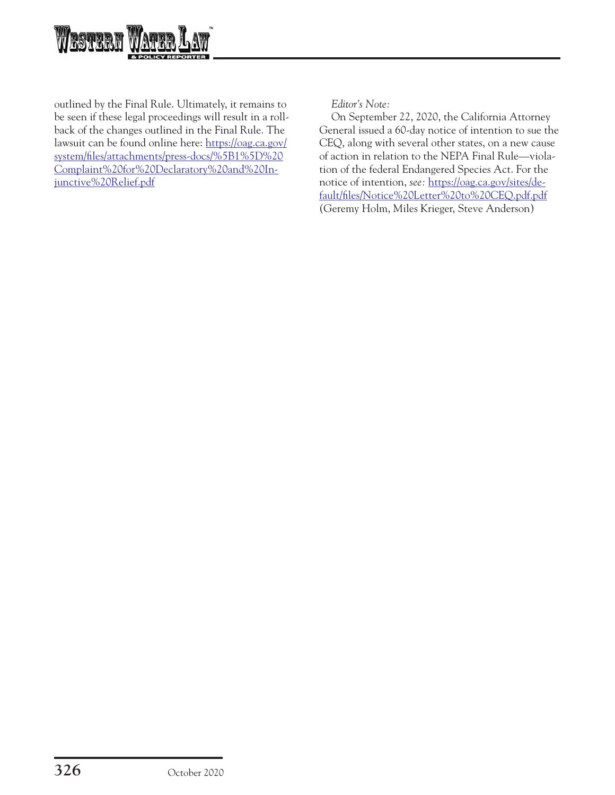

outlined by the Final Rule. Ultimately, it remains to be seen if these legal proceedings will result in a rollback of the changes outlined in the Final Rule. The lawsuit can be found online here: [https://oag.ca.gov/](https://oag.ca.gov/system/files/attachments/press-docs/%5B1%5D%20Complaint%20for%20Declaratory%20and%20Injunctive%20Relief.pdf) [system/files/attachments/press-docs/%5B1%5D%20](https://oag.ca.gov/system/files/attachments/press-docs/%5B1%5D%20Complaint%20for%20Declaratory%20and%20Injunctive%20Relief.pdf) [Complaint%20for%20Declaratory%20and%20In](https://oag.ca.gov/system/files/attachments/press-docs/%5B1%5D%20Complaint%20for%20Declaratory%20and%20Injunctive%20Relief.pdf)[junctive%20Relief.pdf](https://oag.ca.gov/system/files/attachments/press-docs/%5B1%5D%20Complaint%20for%20Declaratory%20and%20Injunctive%20Relief.pdf)

*Editor's Note:*

On September 22, 2020, the California Attorney General issued a 60-day notice of intention to sue the CEQ, along with several other states, on a new cause of action in relation to the NEPA Final Rule—violation of the federal Endangered Species Act. For the notice of intention, *see:* [https://oag.ca.gov/sites/de](https://oag.ca.gov/sites/default/files/Notice%20Letter%20to%20CEQ.pdf.pdf)[fault/files/Notice%20Letter%20to%20CEQ.pdf.pdf](https://oag.ca.gov/sites/default/files/Notice%20Letter%20to%20CEQ.pdf.pdf) (Geremy Holm, Miles Krieger, Steve Anderson)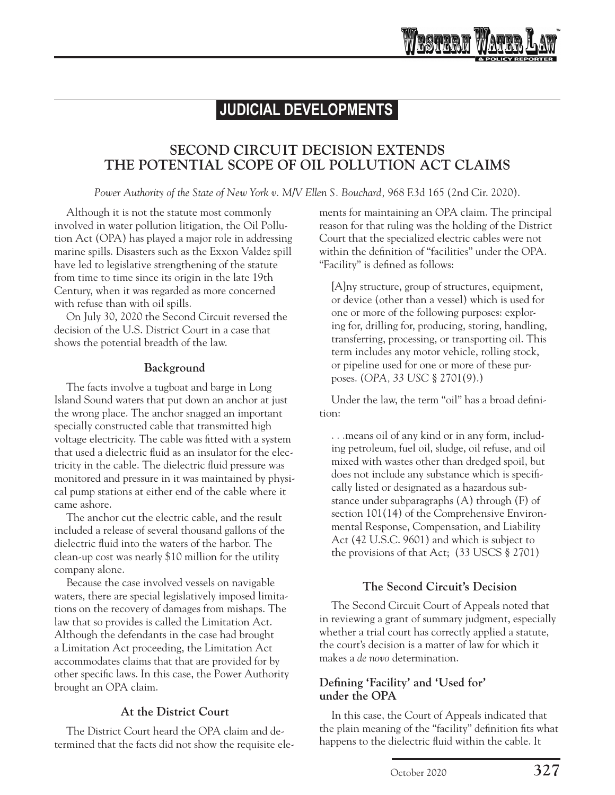# **SECOND CIRCUIT DECISION EXTENDS THE POTENTIAL SCOPE OF OIL POLLUTION ACT CLAIMS**

*Power Authority of the State of New York v. M/V Ellen S. Bouchard, 968 F.3d 165 (2nd Cir. 2020).* 

Although it is not the statute most commonly involved in water pollution litigation, the Oil Pollution Act (OPA) has played a major role in addressing marine spills. Disasters such as the Exxon Valdez spill have led to legislative strengthening of the statute from time to time since its origin in the late 19th Century, when it was regarded as more concerned with refuse than with oil spills.

On July 30, 2020 the Second Circuit reversed the decision of the U.S. District Court in a case that shows the potential breadth of the law.

### **Background**

The facts involve a tugboat and barge in Long Island Sound waters that put down an anchor at just the wrong place. The anchor snagged an important specially constructed cable that transmitted high voltage electricity. The cable was fitted with a system that used a dielectric fluid as an insulator for the electricity in the cable. The dielectric fluid pressure was monitored and pressure in it was maintained by physical pump stations at either end of the cable where it came ashore.

The anchor cut the electric cable, and the result included a release of several thousand gallons of the dielectric fluid into the waters of the harbor. The clean-up cost was nearly \$10 million for the utility company alone.

Because the case involved vessels on navigable waters, there are special legislatively imposed limitations on the recovery of damages from mishaps. The law that so provides is called the Limitation Act. Although the defendants in the case had brought a Limitation Act proceeding, the Limitation Act accommodates claims that that are provided for by other specific laws. In this case, the Power Authority brought an OPA claim.

# **At the District Court**

The District Court heard the OPA claim and determined that the facts did not show the requisite elements for maintaining an OPA claim. The principal reason for that ruling was the holding of the District Court that the specialized electric cables were not within the definition of "facilities" under the OPA. "Facility" is defined as follows:

[A]ny structure, group of structures, equipment, or device (other than a vessel) which is used for one or more of the following purposes: exploring for, drilling for, producing, storing, handling, transferring, processing, or transporting oil. This term includes any motor vehicle, rolling stock, or pipeline used for one or more of these purposes. (*OPA, 33 USC* [§ 2701\(9\)](https://advance.lexis.com/api/document?collection=statutes-legislation&id=urn:contentItem:8TK9-PTV2-D6RV-H3G5-00000-00&context=).)

Under the law, the term "oil" has a broad definition:

. . .means oil of any kind or in any form, including petroleum, fuel oil, sludge, oil refuse, and oil mixed with wastes other than dredged spoil, but does not include any substance which is specifically listed or designated as a hazardous substance under subparagraphs (A) through (F) of section 101(14) of the Comprehensive Environmental Response, Compensation, and Liability Act (42 U.S.C. 9601) and which is subject to the provisions of that Act; [\(33 USCS § 2701\)](https://advance.lexis.com/api/document/collection/statutes-legislation/id/8TK9-PTV2-D6RV-H3G5-00000-00?cite=33%20USCS%20%C2%A7%202701&context=1000516)

# **The Second Circuit's Decision**

The Second Circuit Court of Appeals noted that in reviewing a grant of summary judgment, especially whether a trial court has correctly applied a statute, the court's decision is a matter of law for which it makes a *de novo* determination.

# **Defining 'Facility' and 'Used for' under the OPA**

In this case, the Court of Appeals indicated that the plain meaning of the "facility" definition fits what happens to the dielectric fluid within the cable. It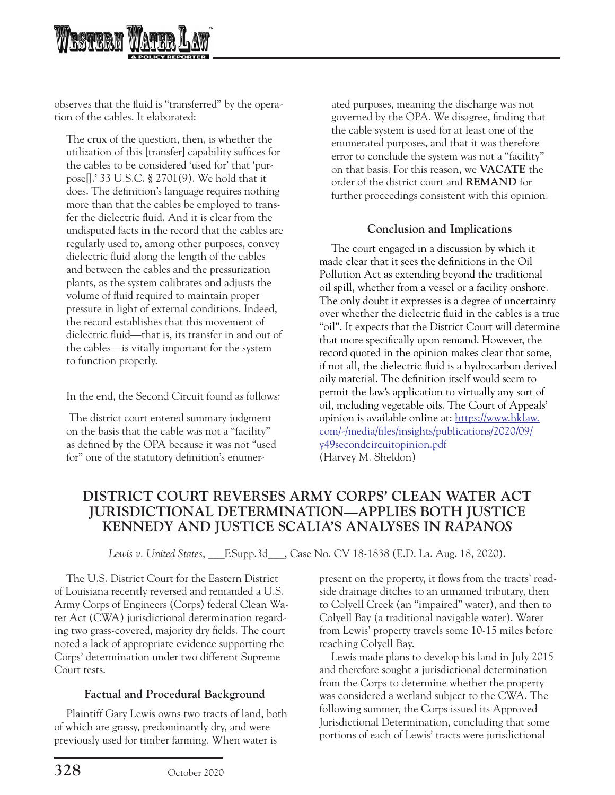

observes that the fluid is "transferred" by the operation of the cables. It elaborated:

The crux of the question, then, is whether the utilization of this [transfer] capability suffices for the cables to be considered 'used for' that 'purpose[].' [33 U.S.C. § 2701\(9\)](https://advance.lexis.com/api/document?collection=statutes-legislation&id=urn:contentItem:8TK9-PTV2-D6RV-H3G5-00000-00&context=). We hold that it does. The definition's language requires nothing more than that the cables be employed to transfer the dielectric fluid. And it is clear from the undisputed facts in the record that the cables are regularly used to, among other purposes, convey dielectric fluid along the length of the cables and between the cables and the pressurization plants, as the system calibrates and adjusts the volume of fluid required to maintain proper pressure in light of external conditions. Indeed, the record establishes that this movement of dielectric fluid—that is, its transfer in and out of the cables—is vitally important for the system to function properly.

In the end, the Second Circuit found as follows:

 The district court entered summary judgment on the basis that the cable was not a "facility" as defined by the OPA because it was not "used for" one of the statutory definition's enumerated purposes, meaning the discharge was not governed by the OPA. We disagree, finding that the cable system is used for at least one of the enumerated purposes, and that it was therefore error to conclude the system was not a "facility" on that basis. For this reason, we **VACATE** the order of the district court and **REMAND** for further proceedings consistent with this opinion.

### **Conclusion and Implications**

The court engaged in a discussion by which it made clear that it sees the definitions in the Oil Pollution Act as extending beyond the traditional oil spill, whether from a vessel or a facility onshore. The only doubt it expresses is a degree of uncertainty over whether the dielectric fluid in the cables is a true "oil". It expects that the District Court will determine that more specifically upon remand. However, the record quoted in the opinion makes clear that some, if not all, the dielectric fluid is a hydrocarbon derived oily material. The definition itself would seem to permit the law's application to virtually any sort of oil, including vegetable oils. The Court of Appeals' opinion is available online at: [https://www.hklaw.](https://www.hklaw.com/-/media/files/insights/publications/2020/09/y49secondcircuitopinion.pdf) [com/-/media/files/insights/publications/2020/09/](https://www.hklaw.com/-/media/files/insights/publications/2020/09/y49secondcircuitopinion.pdf) [y49secondcircuitopinion.pdf](https://www.hklaw.com/-/media/files/insights/publications/2020/09/y49secondcircuitopinion.pdf) (Harvey M. Sheldon)

# **DISTRICT COURT REVERSES ARMY CORPS' CLEAN WATER ACT JURISDICTIONAL DETERMINATION—APPLIES BOTH JUSTICE KENNEDY AND JUSTICE SCALIA'S ANALYSES IN** *RAPANOS*

*Lewis v. United States*, \_\_\_F.Supp.3d\_\_\_, Case No. CV 18-1838 (E.D. La. Aug. 18, 2020).

The U.S. District Court for the Eastern District of Louisiana recently reversed and remanded a U.S. Army Corps of Engineers (Corps) federal Clean Water Act (CWA) jurisdictional determination regarding two grass-covered, majority dry fields. The court noted a lack of appropriate evidence supporting the Corps' determination under two different Supreme Court tests.

## **Factual and Procedural Background**

Plaintiff Gary Lewis owns two tracts of land, both of which are grassy, predominantly dry, and were previously used for timber farming. When water is

present on the property, it flows from the tracts' roadside drainage ditches to an unnamed tributary, then to Colyell Creek (an "impaired" water), and then to Colyell Bay (a traditional navigable water). Water from Lewis' property travels some 10-15 miles before reaching Colyell Bay.

Lewis made plans to develop his land in July 2015 and therefore sought a jurisdictional determination from the Corps to determine whether the property was considered a wetland subject to the CWA. The following summer, the Corps issued its Approved Jurisdictional Determination, concluding that some portions of each of Lewis' tracts were jurisdictional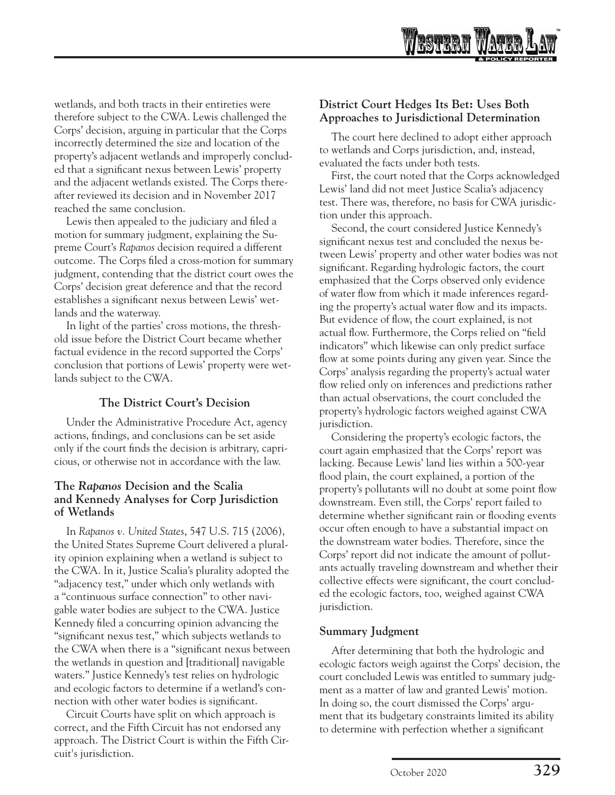

wetlands, and both tracts in their entireties were therefore subject to the CWA. Lewis challenged the Corps' decision, arguing in particular that the Corps incorrectly determined the size and location of the property's adjacent wetlands and improperly concluded that a significant nexus between Lewis' property and the adjacent wetlands existed. The Corps thereafter reviewed its decision and in November 2017 reached the same conclusion.

Lewis then appealed to the judiciary and filed a motion for summary judgment, explaining the Supreme Court's *Rapanos* decision required a different outcome. The Corps filed a cross-motion for summary judgment, contending that the district court owes the Corps' decision great deference and that the record establishes a significant nexus between Lewis' wetlands and the waterway.

In light of the parties' cross motions, the threshold issue before the District Court became whether factual evidence in the record supported the Corps' conclusion that portions of Lewis' property were wetlands subject to the CWA.

### **The District Court's Decision**

Under the Administrative Procedure Act, agency actions, findings, and conclusions can be set aside only if the court finds the decision is arbitrary, capricious, or otherwise not in accordance with the law.

### **The** *Rapanos* **Decision and the Scalia and Kennedy Analyses for Corp Jurisdiction of Wetlands**

In *Rapanos v. United States*, 547 U.S. 715 (2006), the United States Supreme Court delivered a plurality opinion explaining when a wetland is subject to the CWA. In it, Justice Scalia's plurality adopted the "adjacency test," under which only wetlands with a "continuous surface connection" to other navigable water bodies are subject to the CWA. Justice Kennedy filed a concurring opinion advancing the "significant nexus test," which subjects wetlands to the CWA when there is a "significant nexus between the wetlands in question and [traditional] navigable waters." Justice Kennedy's test relies on hydrologic and ecologic factors to determine if a wetland's connection with other water bodies is significant.

Circuit Courts have split on which approach is correct, and the Fifth Circuit has not endorsed any approach. The District Court is within the Fifth Circuit's jurisdiction.

### **District Court Hedges Its Bet: Uses Both Approaches to Jurisdictional Determination**

The court here declined to adopt either approach to wetlands and Corps jurisdiction, and, instead, evaluated the facts under both tests.

First, the court noted that the Corps acknowledged Lewis' land did not meet Justice Scalia's adjacency test. There was, therefore, no basis for CWA jurisdiction under this approach.

Second, the court considered Justice Kennedy's significant nexus test and concluded the nexus between Lewis' property and other water bodies was not significant. Regarding hydrologic factors, the court emphasized that the Corps observed only evidence of water flow from which it made inferences regarding the property's actual water flow and its impacts. But evidence of flow, the court explained, is not actual flow. Furthermore, the Corps relied on "field indicators" which likewise can only predict surface flow at some points during any given year. Since the Corps' analysis regarding the property's actual water flow relied only on inferences and predictions rather than actual observations, the court concluded the property's hydrologic factors weighed against CWA jurisdiction.

Considering the property's ecologic factors, the court again emphasized that the Corps' report was lacking. Because Lewis' land lies within a 500-year flood plain, the court explained, a portion of the property's pollutants will no doubt at some point flow downstream. Even still, the Corps' report failed to determine whether significant rain or flooding events occur often enough to have a substantial impact on the downstream water bodies. Therefore, since the Corps' report did not indicate the amount of pollutants actually traveling downstream and whether their collective effects were significant, the court concluded the ecologic factors, too, weighed against CWA jurisdiction.

### **Summary Judgment**

After determining that both the hydrologic and ecologic factors weigh against the Corps' decision, the court concluded Lewis was entitled to summary judgment as a matter of law and granted Lewis' motion. In doing so, the court dismissed the Corps' argument that its budgetary constraints limited its ability to determine with perfection whether a significant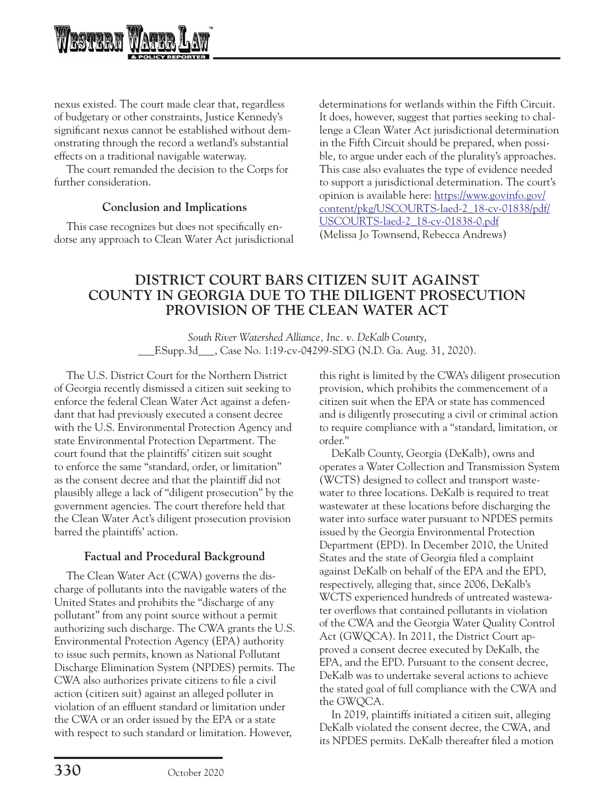

nexus existed. The court made clear that, regardless of budgetary or other constraints, Justice Kennedy's significant nexus cannot be established without demonstrating through the record a wetland's substantial effects on a traditional navigable waterway.

The court remanded the decision to the Corps for further consideration.

### **Conclusion and Implications**

This case recognizes but does not specifically endorse any approach to Clean Water Act jurisdictional determinations for wetlands within the Fifth Circuit. It does, however, suggest that parties seeking to challenge a Clean Water Act jurisdictional determination in the Fifth Circuit should be prepared, when possible, to argue under each of the plurality's approaches. This case also evaluates the type of evidence needed to support a jurisdictional determination. The court's opinion is available here: [https://www.govinfo.gov/](https://www.govinfo.gov/content/pkg/USCOURTS-laed-2_18-cv-01838/pdf/USCOURTS-laed-2_18-cv-01838-0.pdf) [content/pkg/USCOURTS-laed-2\\_18-cv-01838/pdf/](https://www.govinfo.gov/content/pkg/USCOURTS-laed-2_18-cv-01838/pdf/USCOURTS-laed-2_18-cv-01838-0.pdf) [USCOURTS-laed-2\\_18-cv-01838-0.pdf](https://www.govinfo.gov/content/pkg/USCOURTS-laed-2_18-cv-01838/pdf/USCOURTS-laed-2_18-cv-01838-0.pdf) (Melissa Jo Townsend, Rebecca Andrews)

# **DISTRICT COURT BARS CITIZEN SUIT AGAINST COUNTY IN GEORGIA DUE TO THE DILIGENT PROSECUTION PROVISION OF THE CLEAN WATER ACT**

*South River Watershed Alliance, Inc. v. DeKalb County*, \_\_\_F.Supp.3d\_\_\_, Case No. 1:19-cv-04299-SDG (N.D. Ga. Aug. 31, 2020).

The U.S. District Court for the Northern District of Georgia recently dismissed a citizen suit seeking to enforce the federal Clean Water Act against a defendant that had previously executed a consent decree with the U.S. Environmental Protection Agency and state Environmental Protection Department. The court found that the plaintiffs' citizen suit sought to enforce the same "standard, order, or limitation" as the consent decree and that the plaintiff did not plausibly allege a lack of "diligent prosecution" by the government agencies. The court therefore held that the Clean Water Act's diligent prosecution provision barred the plaintiffs' action.

## **Factual and Procedural Background**

The Clean Water Act (CWA) governs the discharge of pollutants into the navigable waters of the United States and prohibits the "discharge of any pollutant" from any point source without a permit authorizing such discharge. The CWA grants the U.S. Environmental Protection Agency (EPA) authority to issue such permits, known as National Pollutant Discharge Elimination System (NPDES) permits. The CWA also authorizes private citizens to file a civil action (citizen suit) against an alleged polluter in violation of an effluent standard or limitation under the CWA or an order issued by the EPA or a state with respect to such standard or limitation. However,

this right is limited by the CWA's diligent prosecution provision, which prohibits the commencement of a citizen suit when the EPA or state has commenced and is diligently prosecuting a civil or criminal action to require compliance with a "standard, limitation, or order."

DeKalb County, Georgia (DeKalb), owns and operates a Water Collection and Transmission System (WCTS) designed to collect and transport wastewater to three locations. DeKalb is required to treat wastewater at these locations before discharging the water into surface water pursuant to NPDES permits issued by the Georgia Environmental Protection Department (EPD). In December 2010, the United States and the state of Georgia filed a complaint against DeKalb on behalf of the EPA and the EPD, respectively, alleging that, since 2006, DeKalb's WCTS experienced hundreds of untreated wastewater overflows that contained pollutants in violation of the CWA and the Georgia Water Quality Control Act (GWQCA). In 2011, the District Court approved a consent decree executed by DeKalb, the EPA, and the EPD. Pursuant to the consent decree, DeKalb was to undertake several actions to achieve the stated goal of full compliance with the CWA and the GWQCA.

In 2019, plaintiffs initiated a citizen suit, alleging DeKalb violated the consent decree, the CWA, and its NPDES permits. DeKalb thereafter filed a motion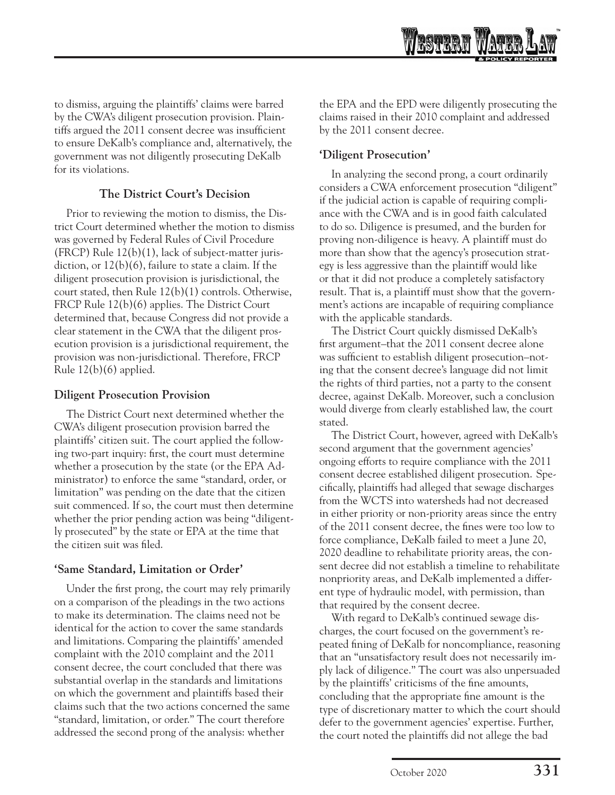

to dismiss, arguing the plaintiffs' claims were barred by the CWA's diligent prosecution provision. Plaintiffs argued the 2011 consent decree was insufficient to ensure DeKalb's compliance and, alternatively, the government was not diligently prosecuting DeKalb for its violations.

### **The District Court's Decision**

Prior to reviewing the motion to dismiss, the District Court determined whether the motion to dismiss was governed by Federal Rules of Civil Procedure (FRCP) Rule 12(b)(1), lack of subject-matter jurisdiction, or 12(b)(6), failure to state a claim. If the diligent prosecution provision is jurisdictional, the court stated, then Rule 12(b)(1) controls. Otherwise, FRCP Rule 12(b)(6) applies. The District Court determined that, because Congress did not provide a clear statement in the CWA that the diligent prosecution provision is a jurisdictional requirement, the provision was non-jurisdictional. Therefore, FRCP Rule 12(b)(6) applied.

### **Diligent Prosecution Provision**

The District Court next determined whether the CWA's diligent prosecution provision barred the plaintiffs' citizen suit. The court applied the following two-part inquiry: first, the court must determine whether a prosecution by the state (or the EPA Administrator) to enforce the same "standard, order, or limitation" was pending on the date that the citizen suit commenced. If so, the court must then determine whether the prior pending action was being "diligently prosecuted" by the state or EPA at the time that the citizen suit was filed.

## **'Same Standard, Limitation or Order'**

Under the first prong, the court may rely primarily on a comparison of the pleadings in the two actions to make its determination. The claims need not be identical for the action to cover the same standards and limitations. Comparing the plaintiffs' amended complaint with the 2010 complaint and the 2011 consent decree, the court concluded that there was substantial overlap in the standards and limitations on which the government and plaintiffs based their claims such that the two actions concerned the same "standard, limitation, or order." The court therefore addressed the second prong of the analysis: whether

the EPA and the EPD were diligently prosecuting the claims raised in their 2010 complaint and addressed by the 2011 consent decree.

# **'Diligent Prosecution'**

In analyzing the second prong, a court ordinarily considers a CWA enforcement prosecution "diligent" if the judicial action is capable of requiring compliance with the CWA and is in good faith calculated to do so. Diligence is presumed, and the burden for proving non-diligence is heavy. A plaintiff must do more than show that the agency's prosecution strategy is less aggressive than the plaintiff would like or that it did not produce a completely satisfactory result. That is, a plaintiff must show that the government's actions are incapable of requiring compliance with the applicable standards.

The District Court quickly dismissed DeKalb's first argument–that the 2011 consent decree alone was sufficient to establish diligent prosecution–noting that the consent decree's language did not limit the rights of third parties, not a party to the consent decree, against DeKalb. Moreover, such a conclusion would diverge from clearly established law, the court stated.

The District Court, however, agreed with DeKalb's second argument that the government agencies' ongoing efforts to require compliance with the 2011 consent decree established diligent prosecution. Specifically, plaintiffs had alleged that sewage discharges from the WCTS into watersheds had not decreased in either priority or non-priority areas since the entry of the 2011 consent decree, the fines were too low to force compliance, DeKalb failed to meet a June 20, 2020 deadline to rehabilitate priority areas, the consent decree did not establish a timeline to rehabilitate nonpriority areas, and DeKalb implemented a different type of hydraulic model, with permission, than that required by the consent decree.

With regard to DeKalb's continued sewage discharges, the court focused on the government's repeated fining of DeKalb for noncompliance, reasoning that an "unsatisfactory result does not necessarily imply lack of diligence." The court was also unpersuaded by the plaintiffs' criticisms of the fine amounts, concluding that the appropriate fine amount is the type of discretionary matter to which the court should defer to the government agencies' expertise. Further, the court noted the plaintiffs did not allege the bad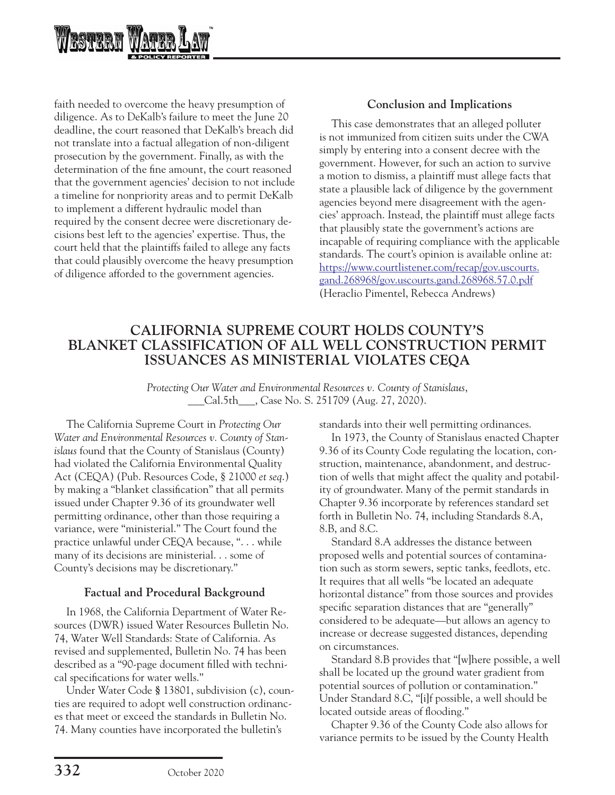

faith needed to overcome the heavy presumption of diligence. As to DeKalb's failure to meet the June 20 deadline, the court reasoned that DeKalb's breach did not translate into a factual allegation of non-diligent prosecution by the government. Finally, as with the determination of the fine amount, the court reasoned that the government agencies' decision to not include a timeline for nonpriority areas and to permit DeKalb to implement a different hydraulic model than required by the consent decree were discretionary decisions best left to the agencies' expertise. Thus, the court held that the plaintiffs failed to allege any facts that could plausibly overcome the heavy presumption of diligence afforded to the government agencies.

### **Conclusion and Implications**

This case demonstrates that an alleged polluter is not immunized from citizen suits under the CWA simply by entering into a consent decree with the government. However, for such an action to survive a motion to dismiss, a plaintiff must allege facts that state a plausible lack of diligence by the government agencies beyond mere disagreement with the agencies' approach. Instead, the plaintiff must allege facts that plausibly state the government's actions are incapable of requiring compliance with the applicable standards. The court's opinion is available online at: [https://www.courtlistener.com/recap/gov.uscourts.](https://www.courtlistener.com/recap/gov.uscourts.gand.268968/gov.uscourts.gand.268968.57.0.pdf) [gand.268968/gov.uscourts.gand.268968.57.0.pdf](https://www.courtlistener.com/recap/gov.uscourts.gand.268968/gov.uscourts.gand.268968.57.0.pdf) (Heraclio Pimentel, Rebecca Andrews)

# **CALIFORNIA SUPREME COURT HOLDS COUNTY'S BLANKET CLASSIFICATION OF ALL WELL CONSTRUCTION PERMIT ISSUANCES AS MINISTERIAL VIOLATES CEQA**

*Protecting Our Water and Environmental Resources v. County of Stanislaus*, \_\_\_Cal.5th\_\_\_, Case No. S. 251709 (Aug. 27, 2020).

The California Supreme Court in *Protecting Our Water and Environmental Resources v. County of Stanislaus* found that the County of Stanislaus (County) had violated the California Environmental Quality Act (CEQA) (Pub. Resources Code, § 21000 *et seq*.) by making a "blanket classification" that all permits issued under Chapter 9.36 of its groundwater well permitting ordinance, other than those requiring a variance, were "ministerial." The Court found the practice unlawful under CEQA because, ". . . while many of its decisions are ministerial. . . some of County's decisions may be discretionary."

### **Factual and Procedural Background**

In 1968, the California Department of Water Resources (DWR) issued Water Resources Bulletin No. 74, Water Well Standards: State of California. As revised and supplemented, Bulletin No. 74 has been described as a "90-page document filled with technical specifications for water wells."

Under Water Code **§** 13801, subdivision (c), counties are required to adopt well construction ordinances that meet or exceed the standards in Bulletin No. 74. Many counties have incorporated the bulletin's

standards into their well permitting ordinances.

In 1973, the County of Stanislaus enacted Chapter 9.36 of its County Code regulating the location, construction, maintenance, abandonment, and destruction of wells that might affect the quality and potability of groundwater. Many of the permit standards in Chapter 9.36 incorporate by references standard set forth in Bulletin No. 74, including Standards 8.A, 8.B, and 8.C.

Standard 8.A addresses the distance between proposed wells and potential sources of contamination such as storm sewers, septic tanks, feedlots, etc. It requires that all wells "be located an adequate horizontal distance" from those sources and provides specific separation distances that are "generally" considered to be adequate—but allows an agency to increase or decrease suggested distances, depending on circumstances.

Standard 8.B provides that "[w]here possible, a well shall be located up the ground water gradient from potential sources of pollution or contamination." Under Standard 8.C, "[i]f possible, a well should be located outside areas of flooding."

Chapter 9.36 of the County Code also allows for variance permits to be issued by the County Health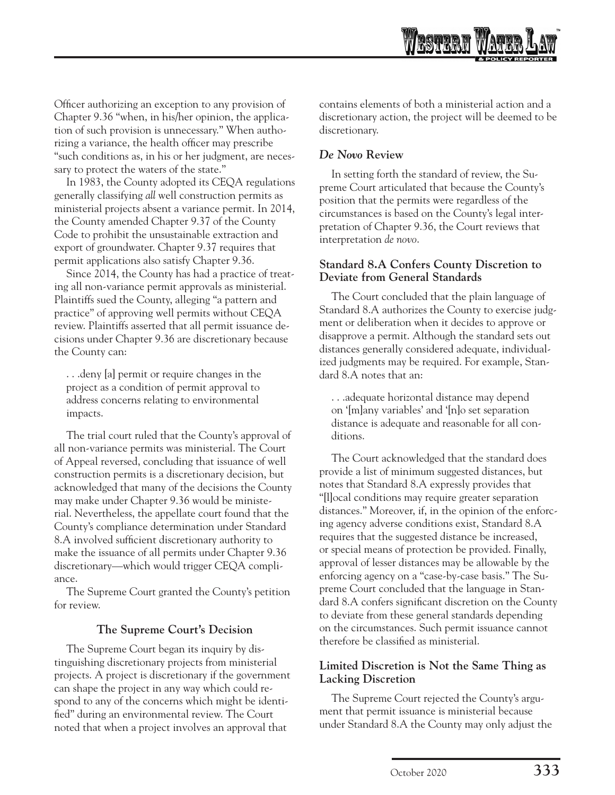Officer authorizing an exception to any provision of Chapter 9.36 "when, in his/her opinion, the application of such provision is unnecessary." When authorizing a variance, the health officer may prescribe "such conditions as, in his or her judgment, are necessary to protect the waters of the state."

In 1983, the County adopted its CEQA regulations generally classifying *all* well construction permits as ministerial projects absent a variance permit. In 2014, the County amended Chapter 9.37 of the County Code to prohibit the unsustainable extraction and export of groundwater. Chapter 9.37 requires that permit applications also satisfy Chapter 9.36.

Since 2014, the County has had a practice of treating all non-variance permit approvals as ministerial. Plaintiffs sued the County, alleging "a pattern and practice" of approving well permits without CEQA review. Plaintiffs asserted that all permit issuance decisions under Chapter 9.36 are discretionary because the County can:

. . .deny [a] permit or require changes in the project as a condition of permit approval to address concerns relating to environmental impacts.

The trial court ruled that the County's approval of all non-variance permits was ministerial. The Court of Appeal reversed, concluding that issuance of well construction permits is a discretionary decision, but acknowledged that many of the decisions the County may make under Chapter 9.36 would be ministerial. Nevertheless, the appellate court found that the County's compliance determination under Standard 8.A involved sufficient discretionary authority to make the issuance of all permits under Chapter 9.36 discretionary—which would trigger CEQA compliance.

The Supreme Court granted the County's petition for review.

## **The Supreme Court's Decision**

The Supreme Court began its inquiry by distinguishing discretionary projects from ministerial projects. A project is discretionary if the government can shape the project in any way which could respond to any of the concerns which might be identified" during an environmental review. The Court noted that when a project involves an approval that

contains elements of both a ministerial action and a discretionary action, the project will be deemed to be discretionary.

# *De Novo* **Review**

In setting forth the standard of review, the Supreme Court articulated that because the County's position that the permits were regardless of the circumstances is based on the County's legal interpretation of Chapter 9.36, the Court reviews that interpretation *de novo*.

### **Standard 8.A Confers County Discretion to Deviate from General Standards**

The Court concluded that the plain language of Standard 8.A authorizes the County to exercise judgment or deliberation when it decides to approve or disapprove a permit. Although the standard sets out distances generally considered adequate, individualized judgments may be required. For example, Standard 8.A notes that an:

. . .adequate horizontal distance may depend on '[m]any variables' and '[n]o set separation distance is adequate and reasonable for all conditions.

The Court acknowledged that the standard does provide a list of minimum suggested distances, but notes that Standard 8.A expressly provides that "[l]ocal conditions may require greater separation distances." Moreover, if, in the opinion of the enforcing agency adverse conditions exist, Standard 8.A requires that the suggested distance be increased, or special means of protection be provided. Finally, approval of lesser distances may be allowable by the enforcing agency on a "case-by-case basis." The Supreme Court concluded that the language in Standard 8.A confers significant discretion on the County to deviate from these general standards depending on the circumstances. Such permit issuance cannot therefore be classified as ministerial.

## **Limited Discretion is Not the Same Thing as Lacking Discretion**

The Supreme Court rejected the County's argument that permit issuance is ministerial because under Standard 8.A the County may only adjust the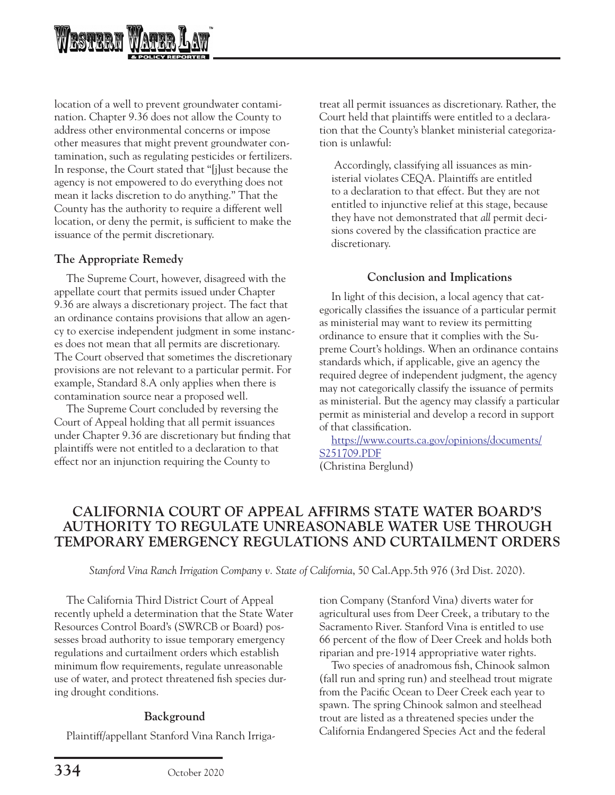

location of a well to prevent groundwater contamination. Chapter 9.36 does not allow the County to address other environmental concerns or impose other measures that might prevent groundwater contamination, such as regulating pesticides or fertilizers. In response, the Court stated that "[j]ust because the agency is not empowered to do everything does not mean it lacks discretion to do anything." That the County has the authority to require a different well location, or deny the permit, is sufficient to make the issuance of the permit discretionary.

### **The Appropriate Remedy**

The Supreme Court, however, disagreed with the appellate court that permits issued under Chapter 9.36 are always a discretionary project. The fact that an ordinance contains provisions that allow an agency to exercise independent judgment in some instances does not mean that all permits are discretionary. The Court observed that sometimes the discretionary provisions are not relevant to a particular permit. For example, Standard 8.A only applies when there is contamination source near a proposed well.

The Supreme Court concluded by reversing the Court of Appeal holding that all permit issuances under Chapter 9.36 are discretionary but finding that plaintiffs were not entitled to a declaration to that effect nor an injunction requiring the County to

treat all permit issuances as discretionary. Rather, the Court held that plaintiffs were entitled to a declaration that the County's blanket ministerial categorization is unlawful:

 Accordingly, classifying all issuances as ministerial violates CEQA. Plaintiffs are entitled to a declaration to that effect. But they are not entitled to injunctive relief at this stage, because they have not demonstrated that *all* permit decisions covered by the classification practice are discretionary.

### **Conclusion and Implications**

In light of this decision, a local agency that categorically classifies the issuance of a particular permit as ministerial may want to review its permitting ordinance to ensure that it complies with the Supreme Court's holdings. When an ordinance contains standards which, if applicable, give an agency the required degree of independent judgment, the agency may not categorically classify the issuance of permits as ministerial. But the agency may classify a particular permit as ministerial and develop a record in support of that classification.

[https://www.courts.ca.gov/opinions/documents/](https://www.courts.ca.gov/opinions/documents/S251709.PDF) [S251709.PDF](https://www.courts.ca.gov/opinions/documents/S251709.PDF) (Christina Berglund)

# **CALIFORNIA COURT OF APPEAL AFFIRMS STATE WATER BOARD'S AUTHORITY TO REGULATE UNREASONABLE WATER USE THROUGH TEMPORARY EMERGENCY REGULATIONS AND CURTAILMENT ORDERS**

*Stanford Vina Ranch Irrigation Company v. State of California*, 50 Cal.App.5th 976 (3rd Dist. 2020).

The California Third District Court of Appeal recently upheld a determination that the State Water Resources Control Board's (SWRCB or Board) possesses broad authority to issue temporary emergency regulations and curtailment orders which establish minimum flow requirements, regulate unreasonable use of water, and protect threatened fish species during drought conditions.

## **Background**

Plaintiff/appellant Stanford Vina Ranch Irriga-

tion Company (Stanford Vina) diverts water for agricultural uses from Deer Creek, a tributary to the Sacramento River. Stanford Vina is entitled to use 66 percent of the flow of Deer Creek and holds both riparian and pre-1914 appropriative water rights.

Two species of anadromous fish, Chinook salmon (fall run and spring run) and steelhead trout migrate from the Pacific Ocean to Deer Creek each year to spawn. The spring Chinook salmon and steelhead trout are listed as a threatened species under the California Endangered Species Act and the federal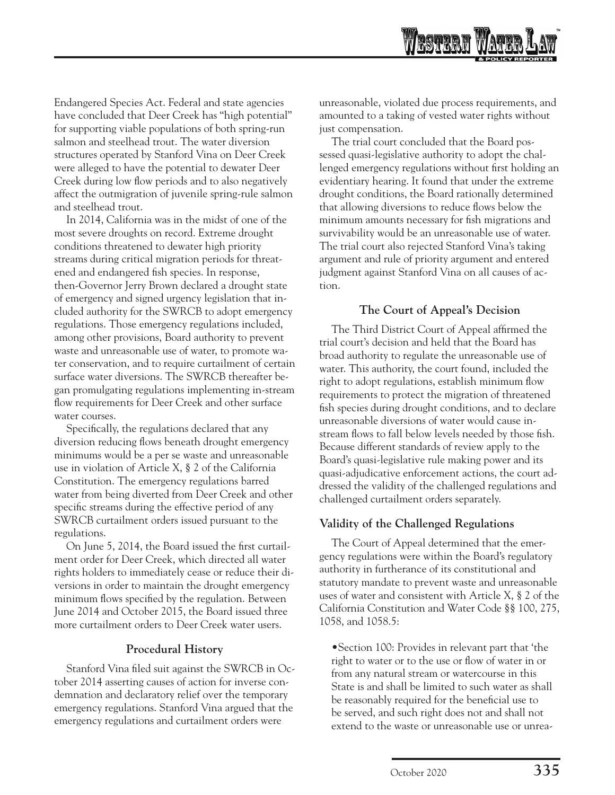Endangered Species Act. Federal and state agencies have concluded that Deer Creek has "high potential" for supporting viable populations of both spring-run salmon and steelhead trout. The water diversion structures operated by Stanford Vina on Deer Creek were alleged to have the potential to dewater Deer Creek during low flow periods and to also negatively affect the outmigration of juvenile spring-rule salmon and steelhead trout.

In 2014, California was in the midst of one of the most severe droughts on record. Extreme drought conditions threatened to dewater high priority streams during critical migration periods for threatened and endangered fish species. In response, then-Governor Jerry Brown declared a drought state of emergency and signed urgency legislation that included authority for the SWRCB to adopt emergency regulations. Those emergency regulations included, among other provisions, Board authority to prevent waste and unreasonable use of water, to promote water conservation, and to require curtailment of certain surface water diversions. The SWRCB thereafter began promulgating regulations implementing in-stream flow requirements for Deer Creek and other surface water courses.

Specifically, the regulations declared that any diversion reducing flows beneath drought emergency minimums would be a per se waste and unreasonable use in violation of Article X, § 2 of the California Constitution. The emergency regulations barred water from being diverted from Deer Creek and other specific streams during the effective period of any SWRCB curtailment orders issued pursuant to the regulations.

On June 5, 2014, the Board issued the first curtailment order for Deer Creek, which directed all water rights holders to immediately cease or reduce their diversions in order to maintain the drought emergency minimum flows specified by the regulation. Between June 2014 and October 2015, the Board issued three more curtailment orders to Deer Creek water users.

## **Procedural History**

Stanford Vina filed suit against the SWRCB in October 2014 asserting causes of action for inverse condemnation and declaratory relief over the temporary emergency regulations. Stanford Vina argued that the emergency regulations and curtailment orders were

unreasonable, violated due process requirements, and amounted to a taking of vested water rights without just compensation.

The trial court concluded that the Board possessed quasi-legislative authority to adopt the challenged emergency regulations without first holding an evidentiary hearing. It found that under the extreme drought conditions, the Board rationally determined that allowing diversions to reduce flows below the minimum amounts necessary for fish migrations and survivability would be an unreasonable use of water. The trial court also rejected Stanford Vina's taking argument and rule of priority argument and entered judgment against Stanford Vina on all causes of action.

## **The Court of Appeal's Decision**

The Third District Court of Appeal affirmed the trial court's decision and held that the Board has broad authority to regulate the unreasonable use of water. This authority, the court found, included the right to adopt regulations, establish minimum flow requirements to protect the migration of threatened fish species during drought conditions, and to declare unreasonable diversions of water would cause instream flows to fall below levels needed by those fish. Because different standards of review apply to the Board's quasi-legislative rule making power and its quasi-adjudicative enforcement actions, the court addressed the validity of the challenged regulations and challenged curtailment orders separately.

# **Validity of the Challenged Regulations**

The Court of Appeal determined that the emergency regulations were within the Board's regulatory authority in furtherance of its constitutional and statutory mandate to prevent waste and unreasonable uses of water and consistent with Article X, § 2 of the California Constitution and Water Code §§ 100, 275, 1058, and 1058.5:

•Section 100: Provides in relevant part that 'the right to water or to the use or flow of water in or from any natural stream or watercourse in this State is and shall be limited to such water as shall be reasonably required for the beneficial use to be served, and such right does not and shall not extend to the waste or unreasonable use or unrea-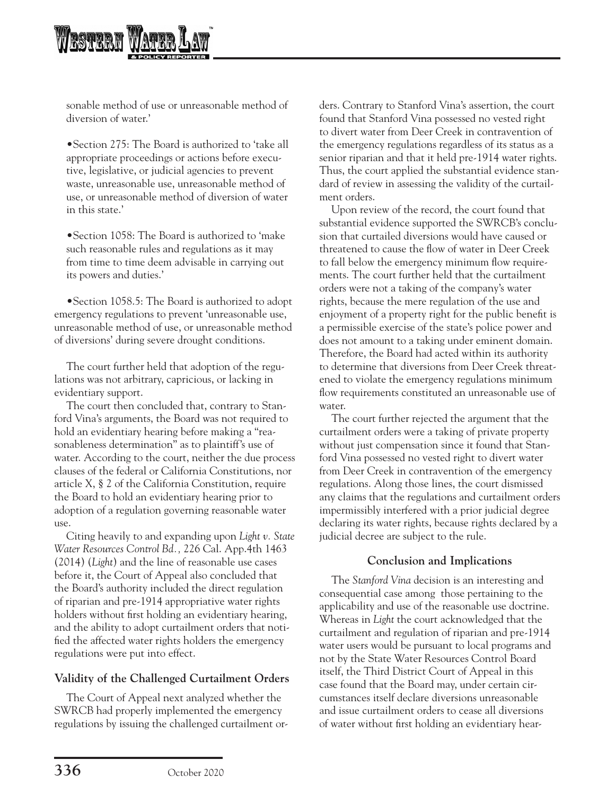

sonable method of use or unreasonable method of diversion of water.'

•Section 275: The Board is authorized to 'take all appropriate proceedings or actions before executive, legislative, or judicial agencies to prevent waste, unreasonable use, unreasonable method of use, or unreasonable method of diversion of water in this state.'

•Section 1058: The Board is authorized to 'make such reasonable rules and regulations as it may from time to time deem advisable in carrying out its powers and duties.'

•Section 1058.5: The Board is authorized to adopt emergency regulations to prevent 'unreasonable use, unreasonable method of use, or unreasonable method of diversions' during severe drought conditions.

The court further held that adoption of the regulations was not arbitrary, capricious, or lacking in evidentiary support.

The court then concluded that, contrary to Stanford Vina's arguments, the Board was not required to hold an evidentiary hearing before making a "reasonableness determination" as to plaintiff's use of water. According to the court, neither the due process clauses of the federal or California Constitutions, nor article X, § 2 of the California Constitution, require the Board to hold an evidentiary hearing prior to adoption of a regulation governing reasonable water use.

Citing heavily to and expanding upon *Light v. State Water Resources Control Bd.,* 226 Cal. App.4th 1463 (2014) (*Light*) and the line of reasonable use cases before it, the Court of Appeal also concluded that the Board's authority included the direct regulation of riparian and pre-1914 appropriative water rights holders without first holding an evidentiary hearing, and the ability to adopt curtailment orders that notified the affected water rights holders the emergency regulations were put into effect.

## **Validity of the Challenged Curtailment Orders**

The Court of Appeal next analyzed whether the SWRCB had properly implemented the emergency regulations by issuing the challenged curtailment orders. Contrary to Stanford Vina's assertion, the court found that Stanford Vina possessed no vested right to divert water from Deer Creek in contravention of the emergency regulations regardless of its status as a senior riparian and that it held pre-1914 water rights. Thus, the court applied the substantial evidence standard of review in assessing the validity of the curtailment orders.

Upon review of the record, the court found that substantial evidence supported the SWRCB's conclusion that curtailed diversions would have caused or threatened to cause the flow of water in Deer Creek to fall below the emergency minimum flow requirements. The court further held that the curtailment orders were not a taking of the company's water rights, because the mere regulation of the use and enjoyment of a property right for the public benefit is a permissible exercise of the state's police power and does not amount to a taking under eminent domain. Therefore, the Board had acted within its authority to determine that diversions from Deer Creek threatened to violate the emergency regulations minimum flow requirements constituted an unreasonable use of water.

The court further rejected the argument that the curtailment orders were a taking of private property without just compensation since it found that Stanford Vina possessed no vested right to divert water from Deer Creek in contravention of the emergency regulations. Along those lines, the court dismissed any claims that the regulations and curtailment orders impermissibly interfered with a prior judicial degree declaring its water rights, because rights declared by a judicial decree are subject to the rule.

### **Conclusion and Implications**

The *Stanford Vina* decision is an interesting and consequential case among those pertaining to the applicability and use of the reasonable use doctrine. Whereas in *Light* the court acknowledged that the curtailment and regulation of riparian and pre-1914 water users would be pursuant to local programs and not by the State Water Resources Control Board itself, the Third District Court of Appeal in this case found that the Board may, under certain circumstances itself declare diversions unreasonable and issue curtailment orders to cease all diversions of water without first holding an evidentiary hear-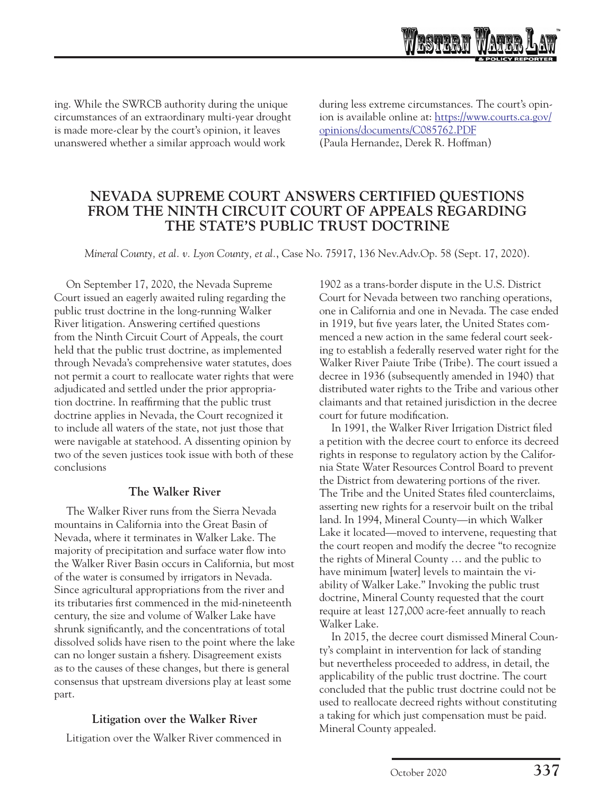

during less extreme circumstances. The court's opinion is available online at: [https://www.courts.ca.gov/](https://www.courts.ca.gov/opinions/documents/C085762.PDF) [opinions/documents/C085762.PDF](https://www.courts.ca.gov/opinions/documents/C085762.PDF) (Paula Hernandez, Derek R. Hoffman)

# **NEVADA SUPREME COURT ANSWERS CERTIFIED QUESTIONS FROM THE NINTH CIRCUIT COURT OF APPEALS REGARDING THE STATE'S PUBLIC TRUST DOCTRINE**

*Mineral County, et al. v. Lyon County, et al.*, Case No. 75917, 136 Nev.Adv.Op. 58 (Sept. 17, 2020).

On September 17, 2020, the Nevada Supreme Court issued an eagerly awaited ruling regarding the public trust doctrine in the long-running Walker River litigation. Answering certified questions from the Ninth Circuit Court of Appeals, the court held that the public trust doctrine, as implemented through Nevada's comprehensive water statutes, does not permit a court to reallocate water rights that were adjudicated and settled under the prior appropriation doctrine. In reaffirming that the public trust doctrine applies in Nevada, the Court recognized it to include all waters of the state, not just those that were navigable at statehood. A dissenting opinion by two of the seven justices took issue with both of these conclusions

### **The Walker River**

The Walker River runs from the Sierra Nevada mountains in California into the Great Basin of Nevada, where it terminates in Walker Lake. The majority of precipitation and surface water flow into the Walker River Basin occurs in California, but most of the water is consumed by irrigators in Nevada. Since agricultural appropriations from the river and its tributaries first commenced in the mid-nineteenth century, the size and volume of Walker Lake have shrunk significantly, and the concentrations of total dissolved solids have risen to the point where the lake can no longer sustain a fishery. Disagreement exists as to the causes of these changes, but there is general consensus that upstream diversions play at least some part.

## **Litigation over the Walker River**

Litigation over the Walker River commenced in

1902 as a trans-border dispute in the U.S. District Court for Nevada between two ranching operations, one in California and one in Nevada. The case ended in 1919, but five years later, the United States commenced a new action in the same federal court seeking to establish a federally reserved water right for the Walker River Paiute Tribe (Tribe). The court issued a decree in 1936 (subsequently amended in 1940) that distributed water rights to the Tribe and various other claimants and that retained jurisdiction in the decree court for future modification.

In 1991, the Walker River Irrigation District filed a petition with the decree court to enforce its decreed rights in response to regulatory action by the California State Water Resources Control Board to prevent the District from dewatering portions of the river. The Tribe and the United States filed counterclaims, asserting new rights for a reservoir built on the tribal land. In 1994, Mineral County—in which Walker Lake it located—moved to intervene, requesting that the court reopen and modify the decree "to recognize the rights of Mineral County … and the public to have minimum [water] levels to maintain the viability of Walker Lake." Invoking the public trust doctrine, Mineral County requested that the court require at least 127,000 acre-feet annually to reach Walker Lake.

In 2015, the decree court dismissed Mineral County's complaint in intervention for lack of standing but nevertheless proceeded to address, in detail, the applicability of the public trust doctrine. The court concluded that the public trust doctrine could not be used to reallocate decreed rights without constituting a taking for which just compensation must be paid. Mineral County appealed.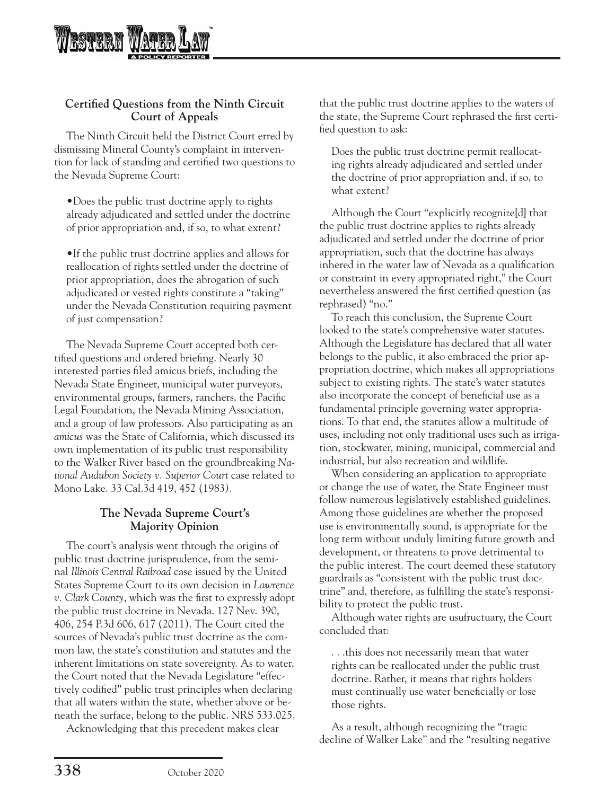

### **Certified Questions from the Ninth Circuit Court of Appeals**

The Ninth Circuit held the District Court erred by dismissing Mineral County's complaint in intervention for lack of standing and certified two questions to the Nevada Supreme Court:

•Does the public trust doctrine apply to rights already adjudicated and settled under the doctrine of prior appropriation and, if so, to what extent?

•If the public trust doctrine applies and allows for reallocation of rights settled under the doctrine of prior appropriation, does the abrogation of such adjudicated or vested rights constitute a "taking" under the Nevada Constitution requiring payment of just compensation?

The Nevada Supreme Court accepted both certified questions and ordered briefing. Nearly 30 interested parties filed amicus briefs, including the Nevada State Engineer, municipal water purveyors, environmental groups, farmers, ranchers, the Pacific Legal Foundation, the Nevada Mining Association, and a group of law professors. Also participating as an *amicus* was the State of California, which discussed its own implementation of its public trust responsibility to the Walker River based on the groundbreaking *National Audubon Society v. Superior Court* case related to Mono Lake. 33 Cal.3d 419, 452 (1983*)*.

### **The Nevada Supreme Court's Majority Opinion**

The court's analysis went through the origins of public trust doctrine jurisprudence, from the seminal *Illinois Central Railroad* case issued by the United States Supreme Court to its own decision in *Lawrence v. Clark County*, which was the first to expressly adopt the public trust doctrine in Nevada. 127 Nev. 390, 406, 254 P.3d 606, 617 (2011). The Court cited the sources of Nevada's public trust doctrine as the common law, the state's constitution and statutes and the inherent limitations on state sovereignty. As to water, the Court noted that the Nevada Legislature "effectively codified" public trust principles when declaring that all waters within the state, whether above or beneath the surface, belong to the public. NRS 533.025.

Acknowledging that this precedent makes clear

that the public trust doctrine applies to the waters of the state, the Supreme Court rephrased the first certified question to ask:

Does the public trust doctrine permit reallocating rights already adjudicated and settled under the doctrine of prior appropriation and, if so, to what extent?

Although the Court "explicitly recognize[d] that the public trust doctrine applies to rights already adjudicated and settled under the doctrine of prior appropriation, such that the doctrine has always inhered in the water law of Nevada as a qualification or constraint in every appropriated right," the Court nevertheless answered the first certified question (as rephrased) "no."

To reach this conclusion, the Supreme Court looked to the state's comprehensive water statutes. Although the Legislature has declared that all water belongs to the public, it also embraced the prior appropriation doctrine, which makes all appropriations subject to existing rights. The state's water statutes also incorporate the concept of beneficial use as a fundamental principle governing water appropriations. To that end, the statutes allow a multitude of uses, including not only traditional uses such as irrigation, stockwater, mining, municipal, commercial and industrial, but also recreation and wildlife.

When considering an application to appropriate or change the use of water, the State Engineer must follow numerous legislatively established guidelines. Among those guidelines are whether the proposed use is environmentally sound, is appropriate for the long term without unduly limiting future growth and development, or threatens to prove detrimental to the public interest. The court deemed these statutory guardrails as "consistent with the public trust doctrine" and, therefore, as fulfilling the state's responsibility to protect the public trust.

Although water rights are usufructuary, the Court concluded that:

. . .this does not necessarily mean that water rights can be reallocated under the public trust doctrine. Rather, it means that rights holders must continually use water beneficially or lose those rights.

As a result, although recognizing the "tragic decline of Walker Lake" and the "resulting negative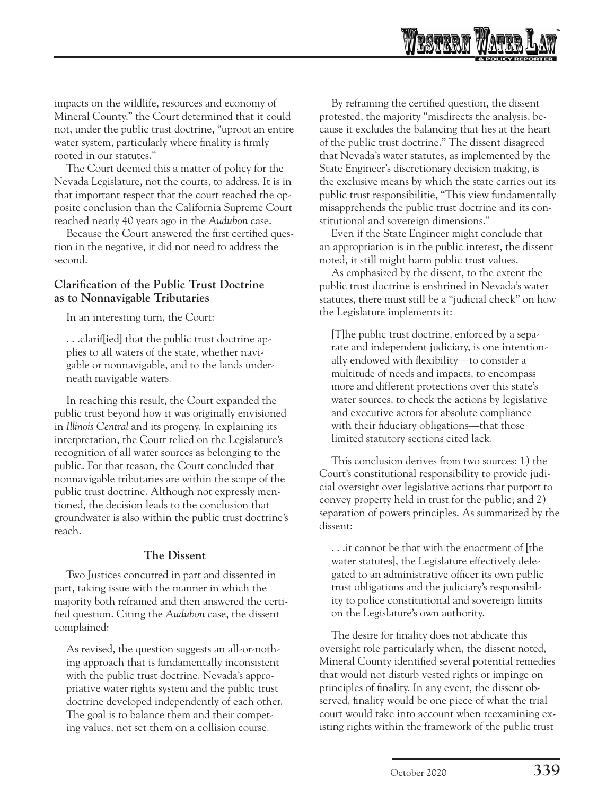

impacts on the wildlife, resources and economy of Mineral County," the Court determined that it could not, under the public trust doctrine, "uproot an entire water system, particularly where finality is firmly rooted in our statutes."

The Court deemed this a matter of policy for the Nevada Legislature, not the courts, to address. It is in that important respect that the court reached the opposite conclusion than the California Supreme Court reached nearly 40 years ago in the *Audubon* case.

Because the Court answered the first certified question in the negative, it did not need to address the second.

### **Clarification of the Public Trust Doctrine as to Nonnavigable Tributaries**

In an interesting turn, the Court:

. . .clarif[ied] that the public trust doctrine applies to all waters of the state, whether navigable or nonnavigable, and to the lands underneath navigable waters.

In reaching this result, the Court expanded the public trust beyond how it was originally envisioned in *Illinois Central* and its progeny. In explaining its interpretation, the Court relied on the Legislature's recognition of all water sources as belonging to the public. For that reason, the Court concluded that nonnavigable tributaries are within the scope of the public trust doctrine. Although not expressly mentioned, the decision leads to the conclusion that groundwater is also within the public trust doctrine's reach.

## **The Dissent**

Two Justices concurred in part and dissented in part, taking issue with the manner in which the majority both reframed and then answered the certified question. Citing the *Audubon* case, the dissent complained:

As revised, the question suggests an all-or-nothing approach that is fundamentally inconsistent with the public trust doctrine. Nevada's appropriative water rights system and the public trust doctrine developed independently of each other. The goal is to balance them and their competing values, not set them on a collision course.

By reframing the certified question, the dissent protested, the majority "misdirects the analysis, because it excludes the balancing that lies at the heart of the public trust doctrine." The dissent disagreed that Nevada's water statutes, as implemented by the State Engineer's discretionary decision making, is the exclusive means by which the state carries out its public trust responsibilitie, "This view fundamentally misapprehends the public trust doctrine and its constitutional and sovereign dimensions."

Even if the State Engineer might conclude that an appropriation is in the public interest, the dissent noted, it still might harm public trust values.

As emphasized by the dissent, to the extent the public trust doctrine is enshrined in Nevada's water statutes, there must still be a "judicial check" on how the Legislature implements it:

[T]he public trust doctrine, enforced by a separate and independent judiciary, is one intentionally endowed with flexibility—to consider a multitude of needs and impacts, to encompass more and different protections over this state's water sources, to check the actions by legislative and executive actors for absolute compliance with their fiduciary obligations—that those limited statutory sections cited lack.

This conclusion derives from two sources: 1) the Court's constitutional responsibility to provide judicial oversight over legislative actions that purport to convey property held in trust for the public; and 2) separation of powers principles. As summarized by the dissent:

. . .it cannot be that with the enactment of [the water statutes], the Legislature effectively delegated to an administrative officer its own public trust obligations and the judiciary's responsibility to police constitutional and sovereign limits on the Legislature's own authority.

The desire for finality does not abdicate this oversight role particularly when, the dissent noted, Mineral County identified several potential remedies that would not disturb vested rights or impinge on principles of finality. In any event, the dissent observed, finality would be one piece of what the trial court would take into account when reexamining existing rights within the framework of the public trust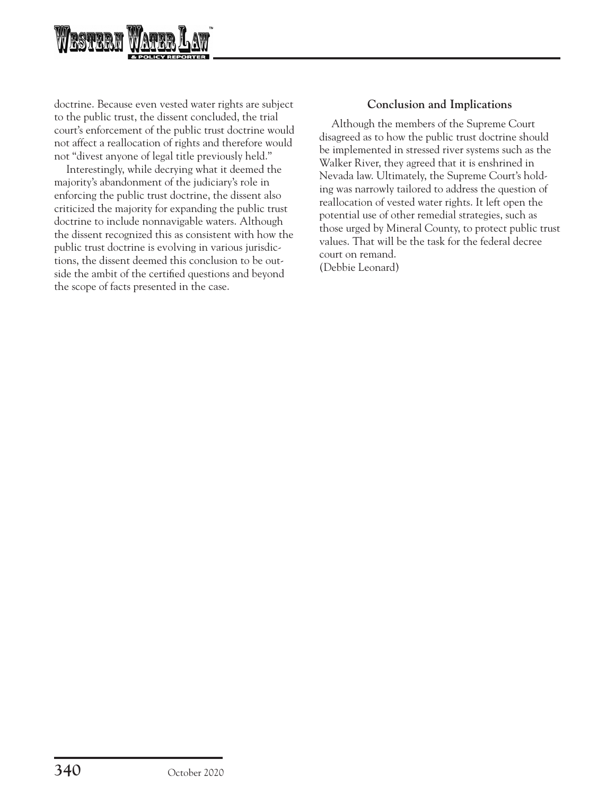

doctrine. Because even vested water rights are subject to the public trust, the dissent concluded, the trial court's enforcement of the public trust doctrine would not affect a reallocation of rights and therefore would not "divest anyone of legal title previously held."

Interestingly, while decrying what it deemed the majority's abandonment of the judiciary's role in enforcing the public trust doctrine, the dissent also criticized the majority for expanding the public trust doctrine to include nonnavigable waters. Although the dissent recognized this as consistent with how the public trust doctrine is evolving in various jurisdictions, the dissent deemed this conclusion to be outside the ambit of the certified questions and beyond the scope of facts presented in the case.

### **Conclusion and Implications**

Although the members of the Supreme Court disagreed as to how the public trust doctrine should be implemented in stressed river systems such as the Walker River, they agreed that it is enshrined in Nevada law. Ultimately, the Supreme Court's holding was narrowly tailored to address the question of reallocation of vested water rights. It left open the potential use of other remedial strategies, such as those urged by Mineral County, to protect public trust values. That will be the task for the federal decree court on remand. (Debbie Leonard)